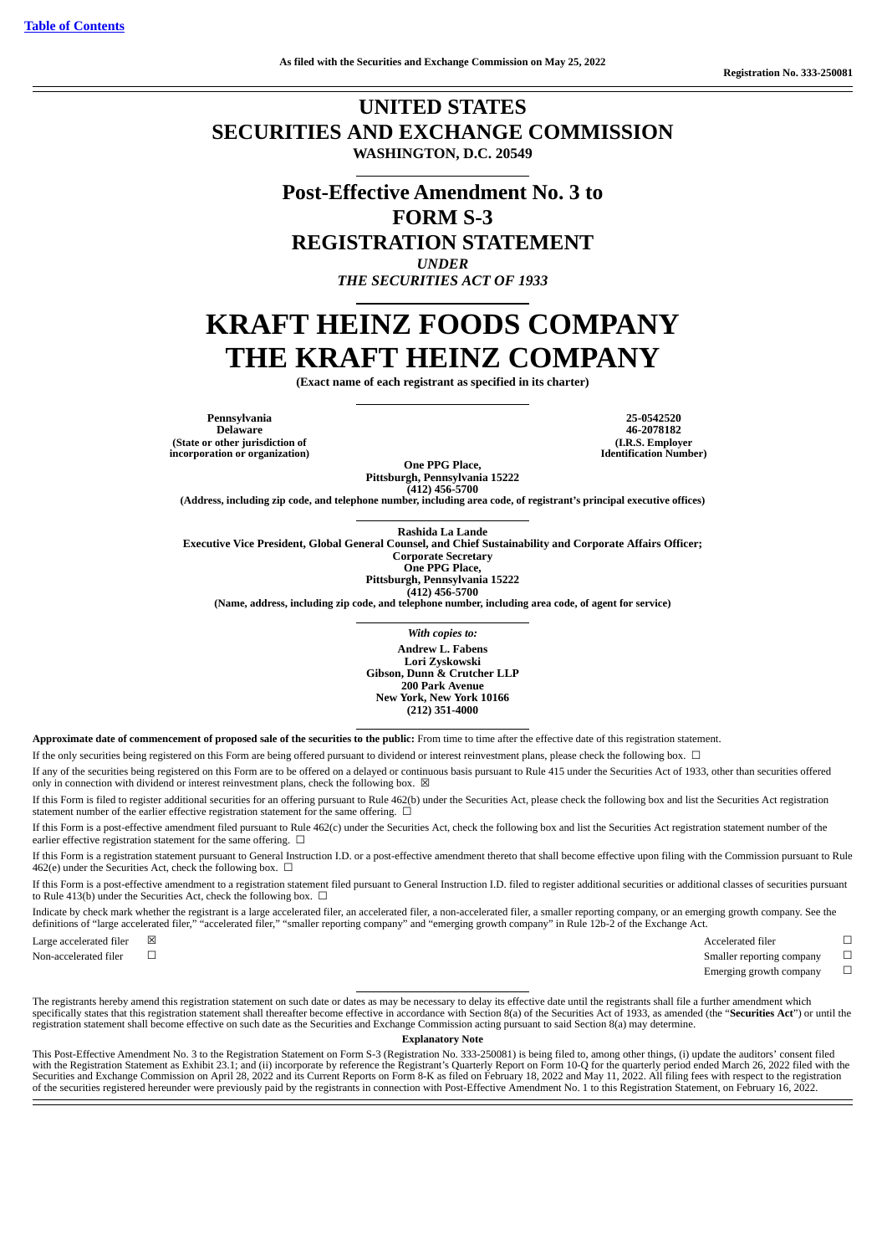### **UNITED STATES SECURITIES AND EXCHANGE COMMISSION WASHINGTON, D.C. 20549**

## **Post-Effective Amendment No. 3 to FORM S-3**

**REGISTRATION STATEMENT**

*UNDER*

*THE SECURITIES ACT OF 1933*

# **KRAFT HEINZ FOODS COMPANY THE KRAFT HEINZ COMPANY**

**(Exact name of each registrant as specified in its charter)**

**Pennsylvania Delaware**

**(State or other jurisdiction of incorporation or organization)**

**One PPG Place, Pittsburgh, Pennsylvania 15222 (412) 456-5700**

**(Address, including zip code, and telephone number, including area code, of registrant's principal executive offices)**

**Rashida La Lande Executive Vice President, Global General Counsel, and Chief Sustainability and Corporate Affairs Officer; Corporate Secretary One PPG Place, Pittsburgh, Pennsylvania 15222 (412) 456-5700**

**(Name, address, including zip code, and telephone number, including area code, of agent for service)**

*With copies to:* **Andrew L. Fabens Lori Zyskowski Gibson, Dunn & Crutcher LLP 200 Park Avenue New York, New York 10166 (212) 351-4000**

Approximate date of commencement of proposed sale of the securities to the public: From time to time after the effective date of this registration statement.

If the only securities being registered on this Form are being offered pursuant to dividend or interest reinvestment plans, please check the following box. ☐

If any of the securities being registered on this Form are to be offered on a delayed or continuous basis pursuant to Rule 415 under the Securities Act of 1933, other than securities offered only in connection with dividend or interest reinvestment plans, check the following box.  $\boxtimes$ 

If this Form is filed to register additional securities for an offering pursuant to Rule 462(b) under the Securities Act, please check the following box and list the Securities Act registration statement number of the earlier effective registration statement for the same offering.  $\Box$ 

If this Form is a post-effective amendment filed pursuant to Rule 462(c) under the Securities Act, check the following box and list the Securities Act registration statement number of the earlier effective registration statement for the same offering.  $\Box$ 

If this Form is a registration statement pursuant to General Instruction I.D. or a post-effective amendment thereto that shall become effective upon filing with the Commission pursuant to Rule 462(e) under the Securities Act, check the following box.  $\Box$ 

If this Form is a post-effective amendment to a registration statement filed pursuant to General Instruction I.D. filed to register additional securities or additional classes of securities pursuant to Rule 413(b) under the Securities Act, check the following box.  $\Box$ 

Indicate by check mark whether the registrant is a large accelerated filer, an accelerated filer, a non-accelerated filer, a smaller reporting company, or an emerging growth company. See the<br>definitions of "large accelerat

 $\Box$  Accelerated filer  $\boxtimes$ Non-accelerated filer <del>□</del> □ Emerging growth company  $\Box$ 

The registrants hereby amend this registration statement on such date or dates as may be necessary to delay its effective date until the registrants shall file a further amendment which specifically states that this registration statement shall thereafter become effective in accordance with Section 8(a) of the Securities Act of 1933, as amended (the "**Securities Act**") or until the registration statement shall become effective on such date as the Securities and Exchange Commission acting pursuant to said Section 8(a) may determine.

**Explanatory Note**

This Post-Effective Amendment No. 3 to the Registration Statement on Form S-3 (Registration No. 333-250081) is being filed to, among other things, (i) update the auditors' consent filed with the Registration Statement as Exhibit 23.1; and (ii) incorporate by reference the Registrant's Quarterly Report on Form 10-Q for the quarterly period ended March 26, 2022 filed with the<br>Securities and Exchange Commiss of the securities registered hereunder were previously paid by the registrants in connection with Post-Effective Amendment No. 1 to this Registration Statement, on February 16, 2022.

**25-0542520 46-2078182 (I.R.S. Employer Identification Number)**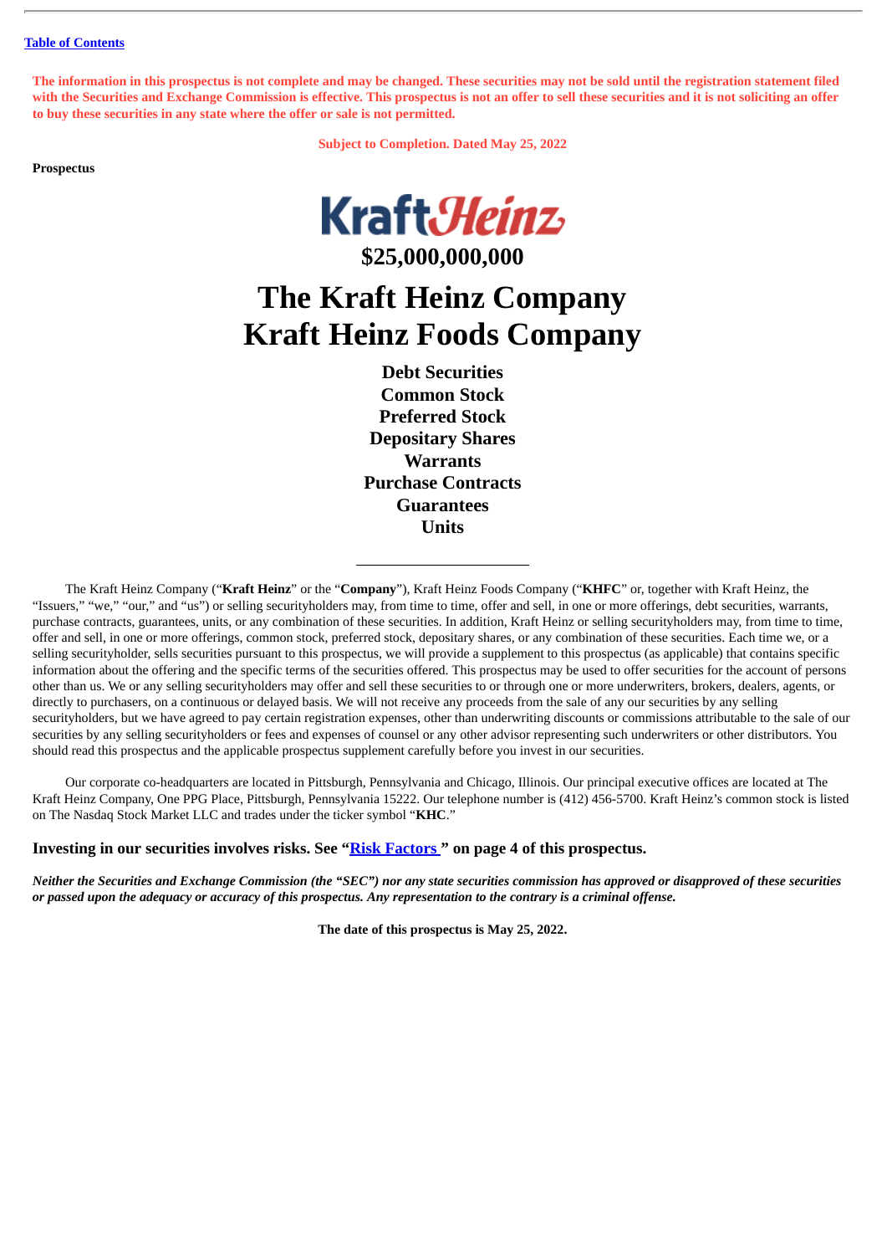The information in this prospectus is not complete and may be changed. These securities may not be sold until the registration statement filed with the Securities and Exchange Commission is effective. This prospectus is not an offer to sell these securities and it is not soliciting an offer **to buy these securities in any state where the offer or sale is not permitted.**

**Prospectus**

**Subject to Completion. Dated May 25, 2022**



# **The Kraft Heinz Company Kraft Heinz Foods Company**

**Debt Securities Common Stock Preferred Stock Depositary Shares Warrants Purchase Contracts Guarantees Units**

The Kraft Heinz Company ("**Kraft Heinz**" or the "**Company**"), Kraft Heinz Foods Company ("**KHFC**" or, together with Kraft Heinz, the "Issuers," "we," "our," and "us") or selling securityholders may, from time to time, offer and sell, in one or more offerings, debt securities, warrants, purchase contracts, guarantees, units, or any combination of these securities. In addition, Kraft Heinz or selling securityholders may, from time to time, offer and sell, in one or more offerings, common stock, preferred stock, depositary shares, or any combination of these securities. Each time we, or a selling securityholder, sells securities pursuant to this prospectus, we will provide a supplement to this prospectus (as applicable) that contains specific information about the offering and the specific terms of the securities offered. This prospectus may be used to offer securities for the account of persons other than us. We or any selling securityholders may offer and sell these securities to or through one or more underwriters, brokers, dealers, agents, or directly to purchasers, on a continuous or delayed basis. We will not receive any proceeds from the sale of any our securities by any selling securityholders, but we have agreed to pay certain registration expenses, other than underwriting discounts or commissions attributable to the sale of our securities by any selling securityholders or fees and expenses of counsel or any other advisor representing such underwriters or other distributors. You should read this prospectus and the applicable prospectus supplement carefully before you invest in our securities.

Our corporate co-headquarters are located in Pittsburgh, Pennsylvania and Chicago, Illinois. Our principal executive offices are located at The Kraft Heinz Company, One PPG Place, Pittsburgh, Pennsylvania 15222. Our telephone number is (412) 456-5700. Kraft Heinz's common stock is listed on The Nasdaq Stock Market LLC and trades under the ticker symbol "**KHC**."

**Investing in our securities involves risks. See "[Risk Factors "](#page-6-0) on page 4 of this prospectus.**

Neither the Securities and Exchange Commission (the "SEC") nor any state securities commission has approved or disapproved of these securities or passed upon the adequacy or accuracy of this prospectus. Any representation to the contrary is a criminal offense.

**The date of this prospectus is May 25, 2022.**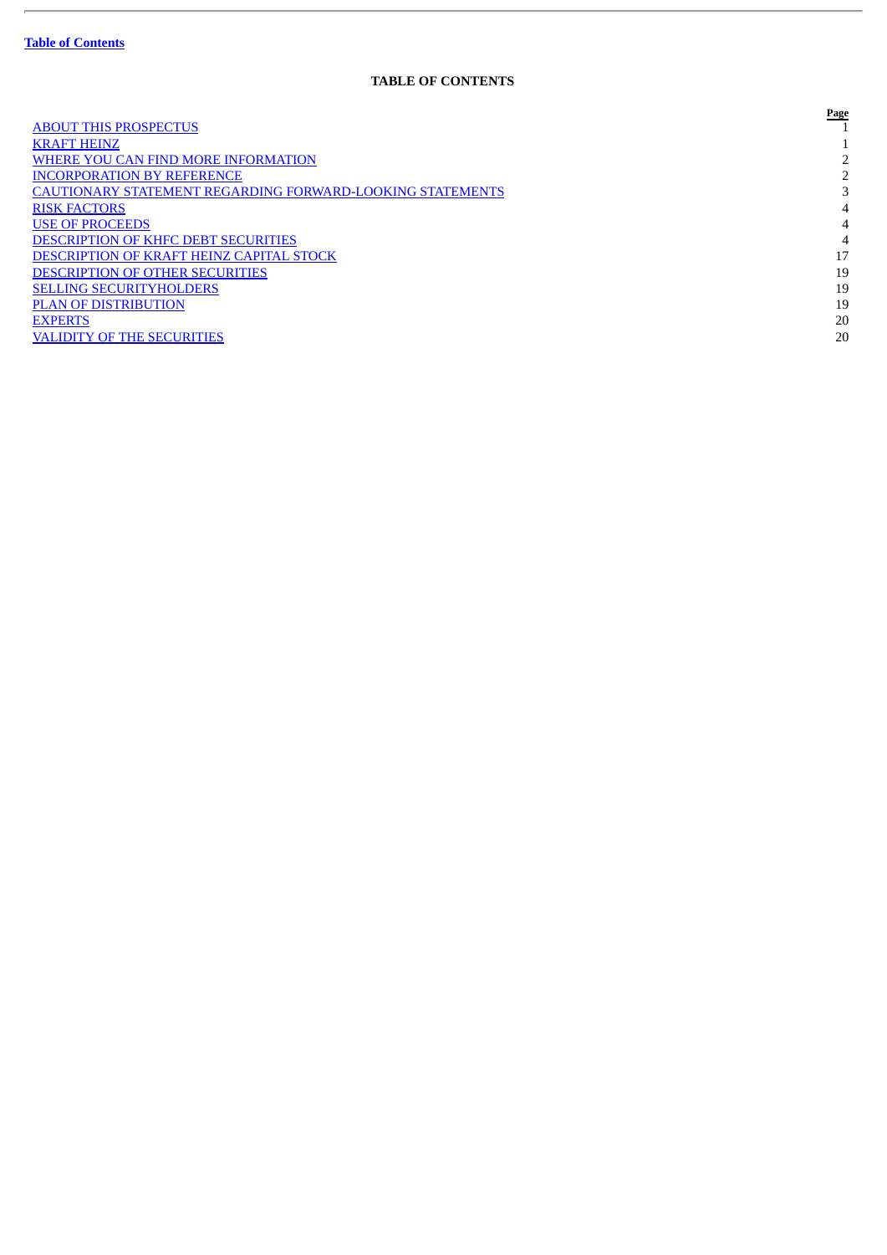ł.

### **TABLE OF CONTENTS**

<span id="page-2-0"></span>

|                                                           | Page |
|-----------------------------------------------------------|------|
| <b>ABOUT THIS PROSPECTUS</b>                              |      |
| <b>KRAFT HEINZ</b>                                        |      |
| WHERE YOU CAN FIND MORE INFORMATION                       |      |
| <b>INCORPORATION BY REFERENCE</b>                         |      |
| CAUTIONARY STATEMENT REGARDING FORWARD-LOOKING STATEMENTS |      |
| <b>RISK FACTORS</b>                                       | 4    |
| <b>USE OF PROCEEDS</b>                                    | 4    |
| <b>DESCRIPTION OF KHFC DEBT SECURITIES</b>                | 4    |
| DESCRIPTION OF KRAFT HEINZ CAPITAL STOCK                  | 17   |
| <b>DESCRIPTION OF OTHER SECURITIES</b>                    | 19   |
| <b>SELLING SECURITYHOLDERS</b>                            | 19   |
| <b>PLAN OF DISTRIBUTION</b>                               | 19   |
| <b>EXPERTS</b>                                            | 20   |
| <b>VALIDITY OF THE SECURITIES</b>                         | 20   |
|                                                           |      |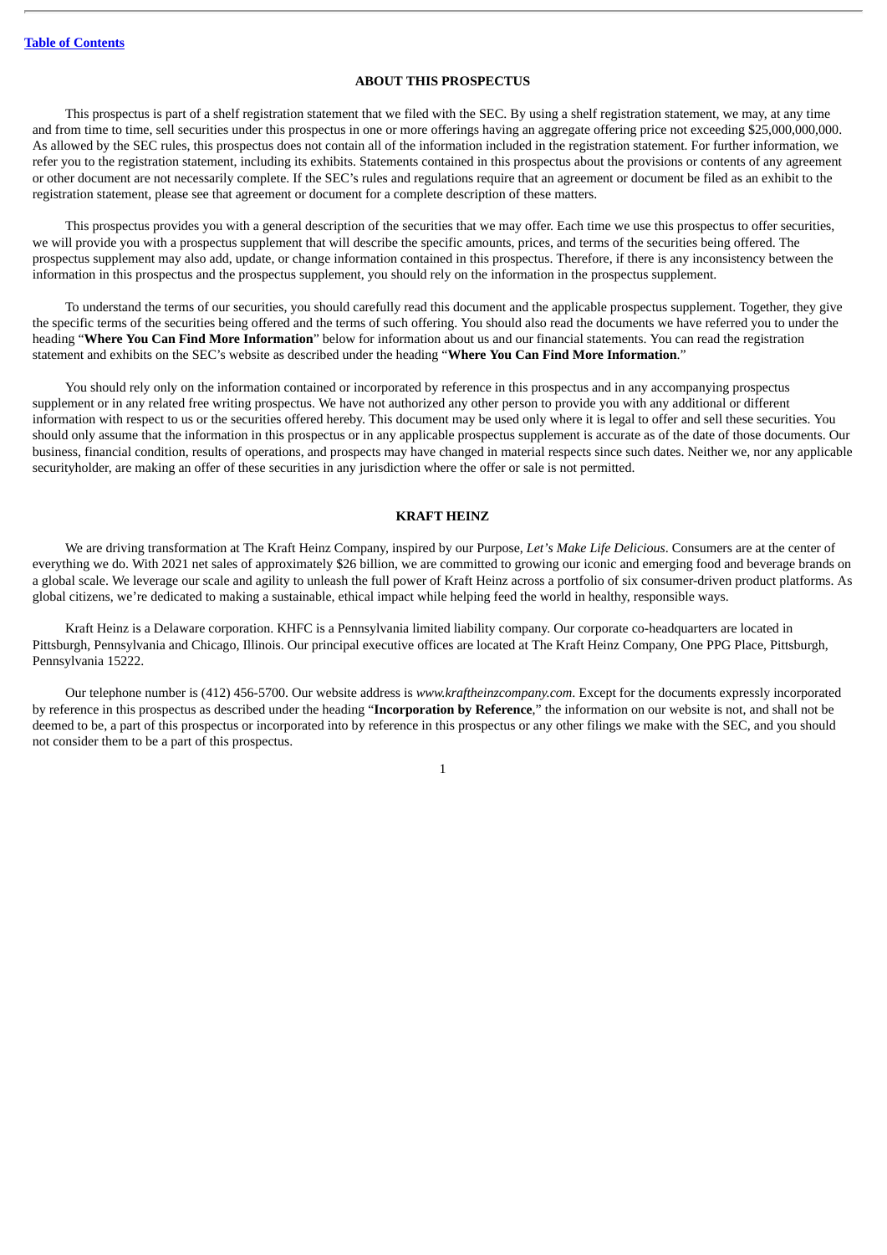#### **ABOUT THIS PROSPECTUS**

<span id="page-3-0"></span>This prospectus is part of a shelf registration statement that we filed with the SEC. By using a shelf registration statement, we may, at any time and from time to time, sell securities under this prospectus in one or more offerings having an aggregate offering price not exceeding \$25,000,000,000. As allowed by the SEC rules, this prospectus does not contain all of the information included in the registration statement. For further information, we refer you to the registration statement, including its exhibits. Statements contained in this prospectus about the provisions or contents of any agreement or other document are not necessarily complete. If the SEC's rules and regulations require that an agreement or document be filed as an exhibit to the registration statement, please see that agreement or document for a complete description of these matters.

This prospectus provides you with a general description of the securities that we may offer. Each time we use this prospectus to offer securities, we will provide you with a prospectus supplement that will describe the specific amounts, prices, and terms of the securities being offered. The prospectus supplement may also add, update, or change information contained in this prospectus. Therefore, if there is any inconsistency between the information in this prospectus and the prospectus supplement, you should rely on the information in the prospectus supplement.

To understand the terms of our securities, you should carefully read this document and the applicable prospectus supplement. Together, they give the specific terms of the securities being offered and the terms of such offering. You should also read the documents we have referred you to under the heading "**Where You Can Find More Information**" below for information about us and our financial statements. You can read the registration statement and exhibits on the SEC's website as described under the heading "**Where You Can Find More Information**."

You should rely only on the information contained or incorporated by reference in this prospectus and in any accompanying prospectus supplement or in any related free writing prospectus. We have not authorized any other person to provide you with any additional or different information with respect to us or the securities offered hereby. This document may be used only where it is legal to offer and sell these securities. You should only assume that the information in this prospectus or in any applicable prospectus supplement is accurate as of the date of those documents. Our business, financial condition, results of operations, and prospects may have changed in material respects since such dates. Neither we, nor any applicable securityholder, are making an offer of these securities in any jurisdiction where the offer or sale is not permitted.

#### **KRAFT HEINZ**

<span id="page-3-1"></span>We are driving transformation at The Kraft Heinz Company, inspired by our Purpose, *Let's Make Life Delicious*. Consumers are at the center of everything we do. With 2021 net sales of approximately \$26 billion, we are committed to growing our iconic and emerging food and beverage brands on a global scale. We leverage our scale and agility to unleash the full power of Kraft Heinz across a portfolio of six consumer-driven product platforms. As global citizens, we're dedicated to making a sustainable, ethical impact while helping feed the world in healthy, responsible ways.

Kraft Heinz is a Delaware corporation. KHFC is a Pennsylvania limited liability company. Our corporate co-headquarters are located in Pittsburgh, Pennsylvania and Chicago, Illinois. Our principal executive offices are located at The Kraft Heinz Company, One PPG Place, Pittsburgh, Pennsylvania 15222.

Our telephone number is (412) 456-5700. Our website address is *www.kraftheinzcompany.com*. Except for the documents expressly incorporated by reference in this prospectus as described under the heading "**Incorporation by Reference**," the information on our website is not, and shall not be deemed to be, a part of this prospectus or incorporated into by reference in this prospectus or any other filings we make with the SEC, and you should not consider them to be a part of this prospectus.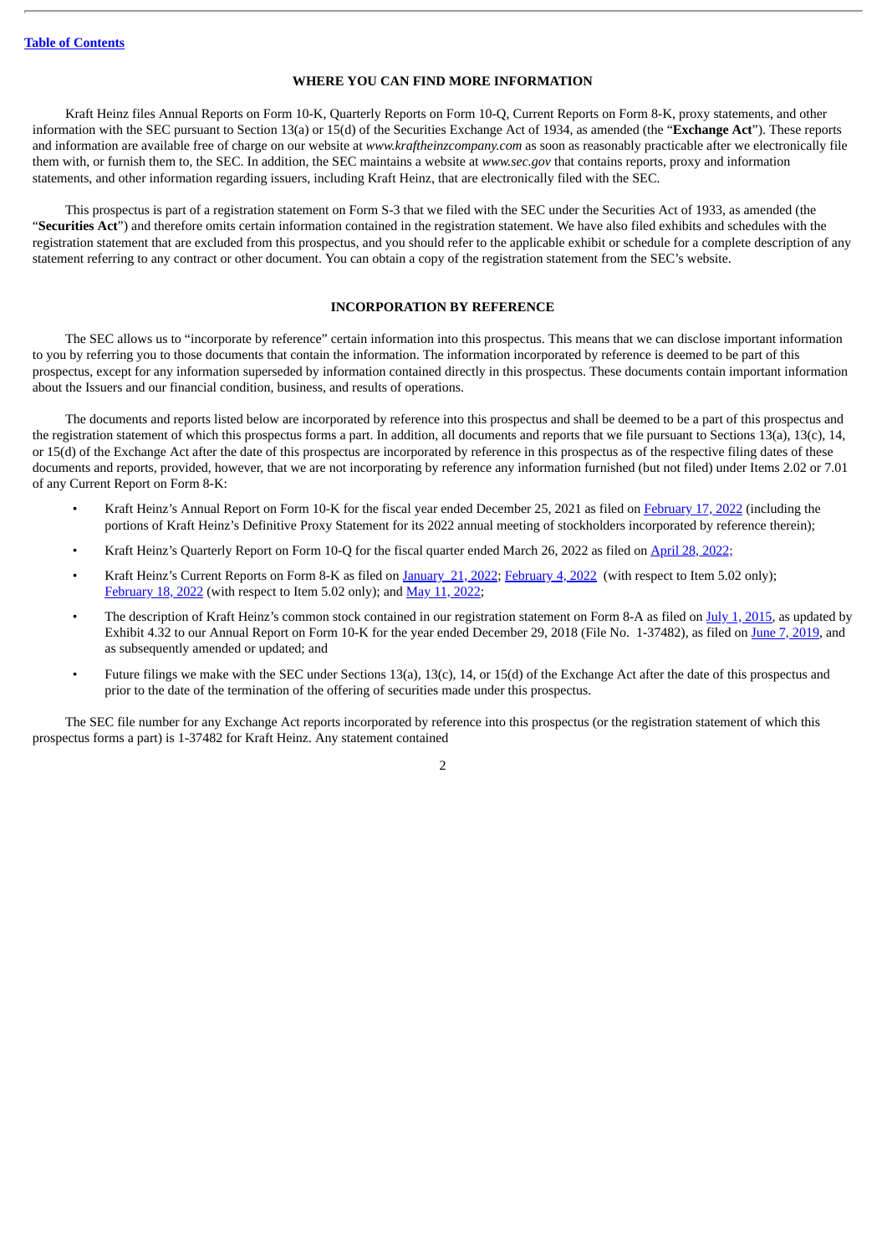#### **WHERE YOU CAN FIND MORE INFORMATION**

<span id="page-4-0"></span>Kraft Heinz files Annual Reports on Form 10-K, Quarterly Reports on Form 10-Q, Current Reports on Form 8-K, proxy statements, and other information with the SEC pursuant to Section 13(a) or 15(d) of the Securities Exchange Act of 1934, as amended (the "**Exchange Act**"). These reports and information are available free of charge on our website at *www.kraftheinzcompany.com* as soon as reasonably practicable after we electronically file them with, or furnish them to, the SEC. In addition, the SEC maintains a website at *www.sec.gov* that contains reports, proxy and information statements, and other information regarding issuers, including Kraft Heinz, that are electronically filed with the SEC.

This prospectus is part of a registration statement on Form S-3 that we filed with the SEC under the Securities Act of 1933, as amended (the "**Securities Act**") and therefore omits certain information contained in the registration statement. We have also filed exhibits and schedules with the registration statement that are excluded from this prospectus, and you should refer to the applicable exhibit or schedule for a complete description of any statement referring to any contract or other document. You can obtain a copy of the registration statement from the SEC's website.

#### **INCORPORATION BY REFERENCE**

<span id="page-4-1"></span>The SEC allows us to "incorporate by reference" certain information into this prospectus. This means that we can disclose important information to you by referring you to those documents that contain the information. The information incorporated by reference is deemed to be part of this prospectus, except for any information superseded by information contained directly in this prospectus. These documents contain important information about the Issuers and our financial condition, business, and results of operations.

The documents and reports listed below are incorporated by reference into this prospectus and shall be deemed to be a part of this prospectus and the registration statement of which this prospectus forms a part. In addition, all documents and reports that we file pursuant to Sections 13(a), 13(c), 14, or 15(d) of the Exchange Act after the date of this prospectus are incorporated by reference in this prospectus as of the respective filing dates of these documents and reports, provided, however, that we are not incorporating by reference any information furnished (but not filed) under Items 2.02 or 7.01 of any Current Report on Form 8-K:

- Kraft Heinz's Annual Report on Form 10-K for the fiscal year ended December 25, 2021 as filed on [February](http://www.sec.gov/ix?doc=/Archives/edgar/data/0001637459/000163745922000018/khc-20211225.htm) 17, 2022 (including the portions of Kraft Heinz's Definitive Proxy Statement for its 2022 annual meeting of stockholders incorporated by reference therein);
- Kraft Heinz's Quarterly Report on Form 10-Q for the fiscal quarter ended March 26, 2022 as filed on April 28, [2022;](http://www.sec.gov/ix?doc=/Archives/edgar/data/1637459/000163745922000060/khc-20220326.htm)
- Kraft Heinz's Current Reports on Form 8-K as filed on [January](http://www.sec.gov/ix?doc=/Archives/edgar/data/0001637459/000163745922000002/khc-20220119.htm) 21, 2022; [February](http://www.sec.gov/ix?doc=/Archives/edgar/data/0001637459/000163745922000012/khc-20220201.htm) 4, 2022 (with respect to Item 5.02 only); [February](http://www.sec.gov/ix?doc=/Archives/edgar/data/0001637459/000163745922000021/khc-20220215.htm) 18, 2022 (with respect to Item 5.02 only); and May 11, [2022;](http://www.sec.gov/ix?doc=/Archives/edgar/data/0001637459/000163745922000088/khc-20220505.htm)
- The description of Kraft Heinz's common stock contained in our registration statement on Form 8-A as filed on July 1, [2015,](http://www.sec.gov/Archives/edgar/data/0001637459/000119312515242773/d948866d8a12b.htm) as updated by Exhibit 4.32 to our Annual Report on Form 10-K for the year ended December 29, 2018 (File No. 1-37482), as filed on June 7, [2019](http://www.sec.gov/Archives/edgar/data/0001637459/000163745919000049/form10-k2018.htm), and as subsequently amended or updated; and
- Future filings we make with the SEC under Sections 13(a), 13(c), 14, or 15(d) of the Exchange Act after the date of this prospectus and prior to the date of the termination of the offering of securities made under this prospectus.

The SEC file number for any Exchange Act reports incorporated by reference into this prospectus (or the registration statement of which this prospectus forms a part) is 1-37482 for Kraft Heinz. Any statement contained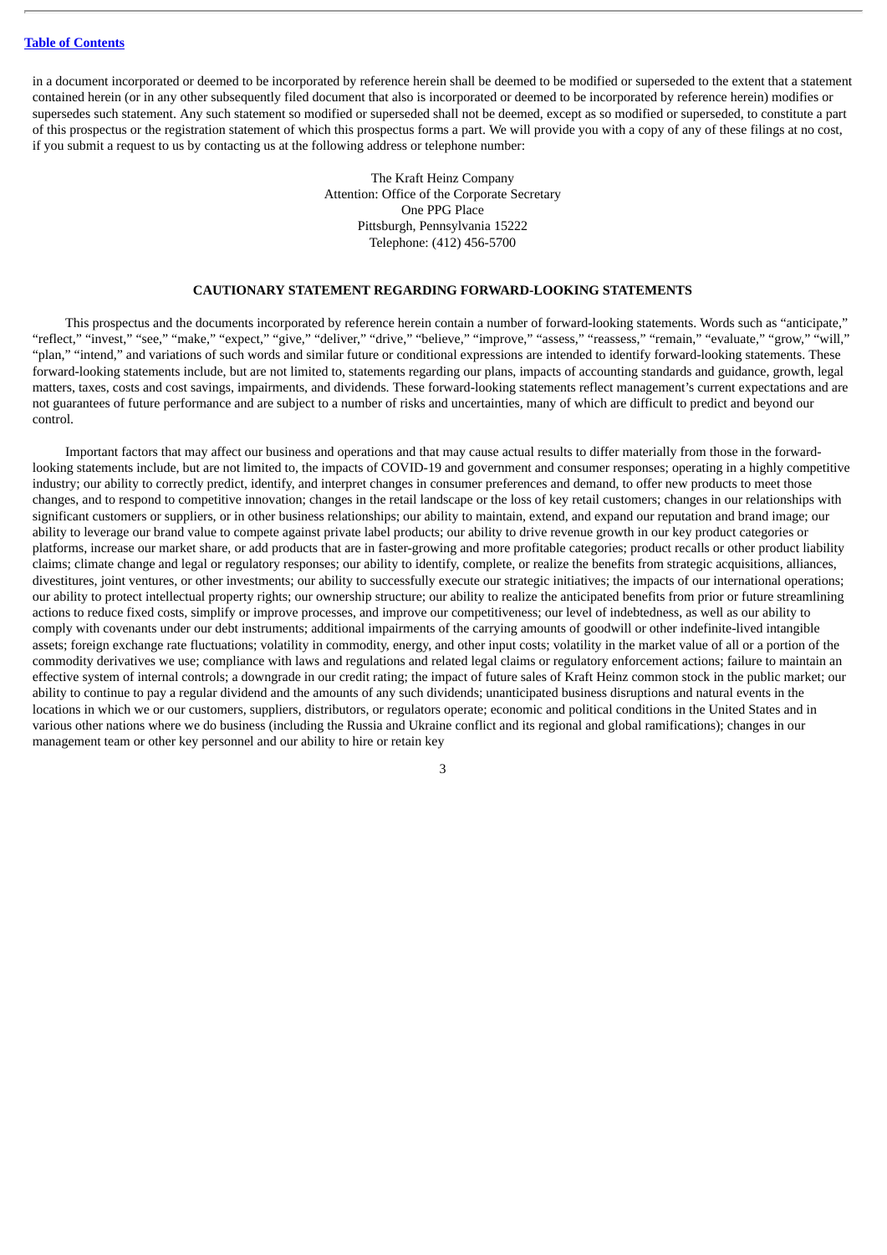in a document incorporated or deemed to be incorporated by reference herein shall be deemed to be modified or superseded to the extent that a statement contained herein (or in any other subsequently filed document that also is incorporated or deemed to be incorporated by reference herein) modifies or supersedes such statement. Any such statement so modified or superseded shall not be deemed, except as so modified or superseded, to constitute a part of this prospectus or the registration statement of which this prospectus forms a part. We will provide you with a copy of any of these filings at no cost, if you submit a request to us by contacting us at the following address or telephone number:

> The Kraft Heinz Company Attention: Office of the Corporate Secretary One PPG Place Pittsburgh, Pennsylvania 15222 Telephone: (412) 456-5700

#### **CAUTIONARY STATEMENT REGARDING FORWARD-LOOKING STATEMENTS**

<span id="page-5-0"></span>This prospectus and the documents incorporated by reference herein contain a number of forward-looking statements. Words such as "anticipate," "reflect," "invest," "see," "make," "expect," "give," "deliver," "drive," "believe," "improve," "assess," "reassess," "remain," "evaluate," "grow," "will," "plan," "intend," and variations of such words and similar future or conditional expressions are intended to identify forward-looking statements. These forward-looking statements include, but are not limited to, statements regarding our plans, impacts of accounting standards and guidance, growth, legal matters, taxes, costs and cost savings, impairments, and dividends. These forward-looking statements reflect management's current expectations and are not guarantees of future performance and are subject to a number of risks and uncertainties, many of which are difficult to predict and beyond our control.

Important factors that may affect our business and operations and that may cause actual results to differ materially from those in the forwardlooking statements include, but are not limited to, the impacts of COVID-19 and government and consumer responses; operating in a highly competitive industry; our ability to correctly predict, identify, and interpret changes in consumer preferences and demand, to offer new products to meet those changes, and to respond to competitive innovation; changes in the retail landscape or the loss of key retail customers; changes in our relationships with significant customers or suppliers, or in other business relationships; our ability to maintain, extend, and expand our reputation and brand image; our ability to leverage our brand value to compete against private label products; our ability to drive revenue growth in our key product categories or platforms, increase our market share, or add products that are in faster-growing and more profitable categories; product recalls or other product liability claims; climate change and legal or regulatory responses; our ability to identify, complete, or realize the benefits from strategic acquisitions, alliances, divestitures, joint ventures, or other investments; our ability to successfully execute our strategic initiatives; the impacts of our international operations; our ability to protect intellectual property rights; our ownership structure; our ability to realize the anticipated benefits from prior or future streamlining actions to reduce fixed costs, simplify or improve processes, and improve our competitiveness; our level of indebtedness, as well as our ability to comply with covenants under our debt instruments; additional impairments of the carrying amounts of goodwill or other indefinite-lived intangible assets; foreign exchange rate fluctuations; volatility in commodity, energy, and other input costs; volatility in the market value of all or a portion of the commodity derivatives we use; compliance with laws and regulations and related legal claims or regulatory enforcement actions; failure to maintain an effective system of internal controls; a downgrade in our credit rating; the impact of future sales of Kraft Heinz common stock in the public market; our ability to continue to pay a regular dividend and the amounts of any such dividends; unanticipated business disruptions and natural events in the locations in which we or our customers, suppliers, distributors, or regulators operate; economic and political conditions in the United States and in various other nations where we do business (including the Russia and Ukraine conflict and its regional and global ramifications); changes in our management team or other key personnel and our ability to hire or retain key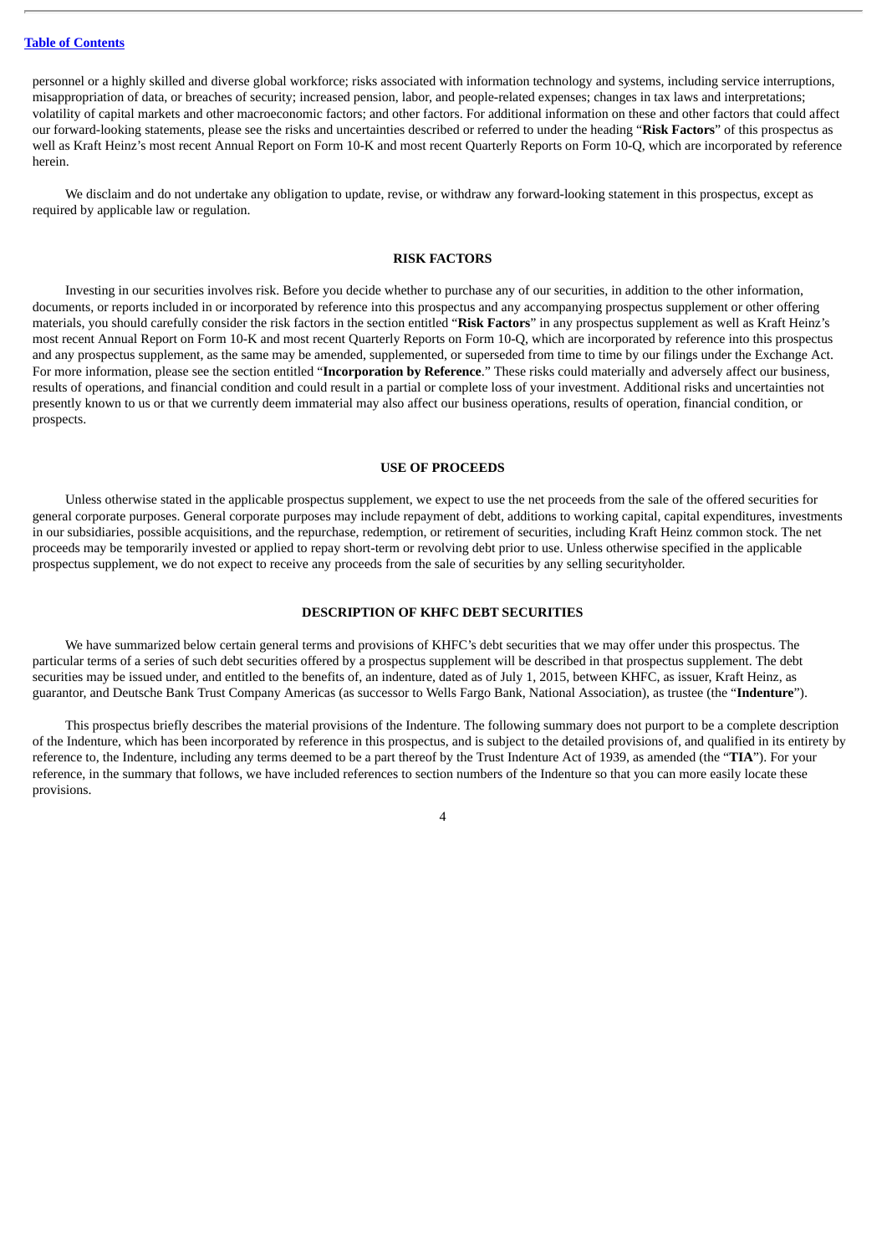personnel or a highly skilled and diverse global workforce; risks associated with information technology and systems, including service interruptions, misappropriation of data, or breaches of security; increased pension, labor, and people-related expenses; changes in tax laws and interpretations; volatility of capital markets and other macroeconomic factors; and other factors. For additional information on these and other factors that could affect our forward-looking statements, please see the risks and uncertainties described or referred to under the heading "**Risk Factors**" of this prospectus as well as Kraft Heinz's most recent Annual Report on Form 10-K and most recent Quarterly Reports on Form 10-Q, which are incorporated by reference herein.

We disclaim and do not undertake any obligation to update, revise, or withdraw any forward-looking statement in this prospectus, except as required by applicable law or regulation.

#### **RISK FACTORS**

<span id="page-6-0"></span>Investing in our securities involves risk. Before you decide whether to purchase any of our securities, in addition to the other information, documents, or reports included in or incorporated by reference into this prospectus and any accompanying prospectus supplement or other offering materials, you should carefully consider the risk factors in the section entitled "**Risk Factors**" in any prospectus supplement as well as Kraft Heinz's most recent Annual Report on Form 10-K and most recent Quarterly Reports on Form 10-Q, which are incorporated by reference into this prospectus and any prospectus supplement, as the same may be amended, supplemented, or superseded from time to time by our filings under the Exchange Act. For more information, please see the section entitled "**Incorporation by Reference**." These risks could materially and adversely affect our business, results of operations, and financial condition and could result in a partial or complete loss of your investment. Additional risks and uncertainties not presently known to us or that we currently deem immaterial may also affect our business operations, results of operation, financial condition, or prospects.

#### **USE OF PROCEEDS**

<span id="page-6-1"></span>Unless otherwise stated in the applicable prospectus supplement, we expect to use the net proceeds from the sale of the offered securities for general corporate purposes. General corporate purposes may include repayment of debt, additions to working capital, capital expenditures, investments in our subsidiaries, possible acquisitions, and the repurchase, redemption, or retirement of securities, including Kraft Heinz common stock. The net proceeds may be temporarily invested or applied to repay short-term or revolving debt prior to use. Unless otherwise specified in the applicable prospectus supplement, we do not expect to receive any proceeds from the sale of securities by any selling securityholder.

#### **DESCRIPTION OF KHFC DEBT SECURITIES**

<span id="page-6-2"></span>We have summarized below certain general terms and provisions of KHFC's debt securities that we may offer under this prospectus. The particular terms of a series of such debt securities offered by a prospectus supplement will be described in that prospectus supplement. The debt securities may be issued under, and entitled to the benefits of, an indenture, dated as of July 1, 2015, between KHFC, as issuer, Kraft Heinz, as guarantor, and Deutsche Bank Trust Company Americas (as successor to Wells Fargo Bank, National Association), as trustee (the "**Indenture**").

This prospectus briefly describes the material provisions of the Indenture. The following summary does not purport to be a complete description of the Indenture, which has been incorporated by reference in this prospectus, and is subject to the detailed provisions of, and qualified in its entirety by reference to, the Indenture, including any terms deemed to be a part thereof by the Trust Indenture Act of 1939, as amended (the "**TIA**"). For your reference, in the summary that follows, we have included references to section numbers of the Indenture so that you can more easily locate these provisions.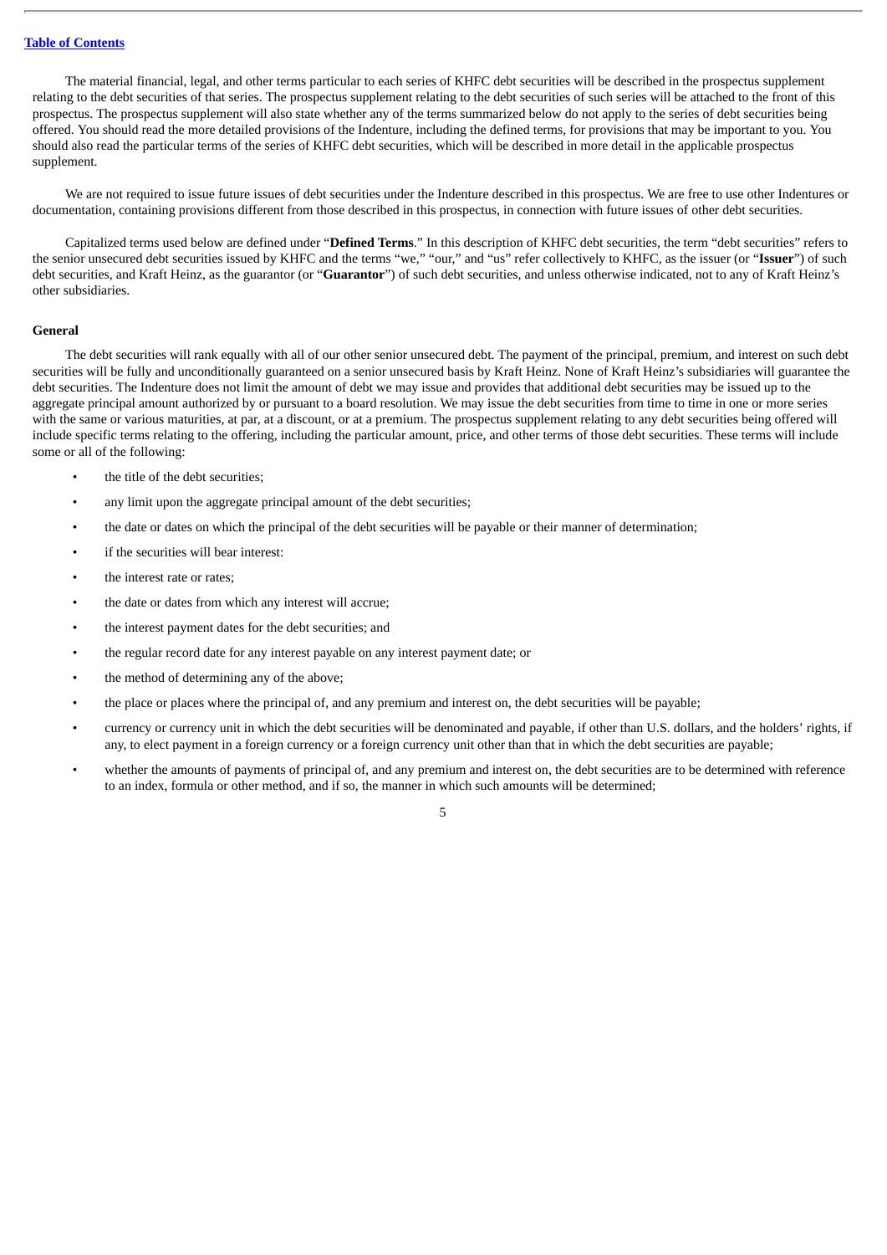The material financial, legal, and other terms particular to each series of KHFC debt securities will be described in the prospectus supplement relating to the debt securities of that series. The prospectus supplement relating to the debt securities of such series will be attached to the front of this prospectus. The prospectus supplement will also state whether any of the terms summarized below do not apply to the series of debt securities being offered. You should read the more detailed provisions of the Indenture, including the defined terms, for provisions that may be important to you. You should also read the particular terms of the series of KHFC debt securities, which will be described in more detail in the applicable prospectus supplement.

We are not required to issue future issues of debt securities under the Indenture described in this prospectus. We are free to use other Indentures or documentation, containing provisions different from those described in this prospectus, in connection with future issues of other debt securities.

Capitalized terms used below are defined under "**Defined Terms**." In this description of KHFC debt securities, the term "debt securities" refers to the senior unsecured debt securities issued by KHFC and the terms "we," "our," and "us" refer collectively to KHFC, as the issuer (or "**Issuer**") of such debt securities, and Kraft Heinz, as the guarantor (or "**Guarantor**") of such debt securities, and unless otherwise indicated, not to any of Kraft Heinz's other subsidiaries.

#### **General**

The debt securities will rank equally with all of our other senior unsecured debt. The payment of the principal, premium, and interest on such debt securities will be fully and unconditionally guaranteed on a senior unsecured basis by Kraft Heinz. None of Kraft Heinz's subsidiaries will guarantee the debt securities. The Indenture does not limit the amount of debt we may issue and provides that additional debt securities may be issued up to the aggregate principal amount authorized by or pursuant to a board resolution. We may issue the debt securities from time to time in one or more series with the same or various maturities, at par, at a discount, or at a premium. The prospectus supplement relating to any debt securities being offered will include specific terms relating to the offering, including the particular amount, price, and other terms of those debt securities. These terms will include some or all of the following:

- the title of the debt securities;
- any limit upon the aggregate principal amount of the debt securities;
- the date or dates on which the principal of the debt securities will be payable or their manner of determination;
- if the securities will bear interest:
- the interest rate or rates;
- the date or dates from which any interest will accrue;
- the interest payment dates for the debt securities; and
- the regular record date for any interest payable on any interest payment date; or
- the method of determining any of the above;
- the place or places where the principal of, and any premium and interest on, the debt securities will be payable;
- currency or currency unit in which the debt securities will be denominated and payable, if other than U.S. dollars, and the holders' rights, if any, to elect payment in a foreign currency or a foreign currency unit other than that in which the debt securities are payable;
- whether the amounts of payments of principal of, and any premium and interest on, the debt securities are to be determined with reference to an index, formula or other method, and if so, the manner in which such amounts will be determined;

 $\overline{5}$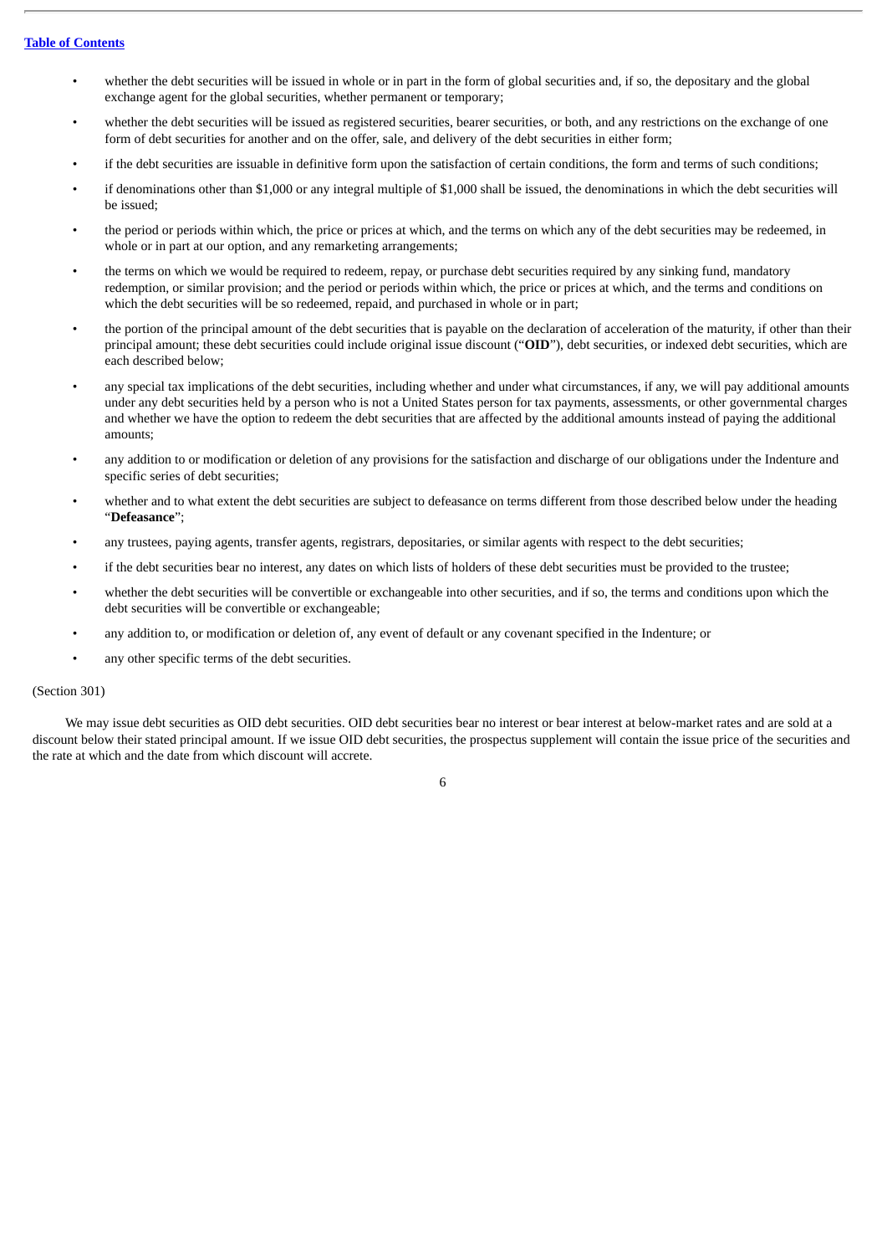- whether the debt securities will be issued in whole or in part in the form of global securities and, if so, the depositary and the global exchange agent for the global securities, whether permanent or temporary;
- whether the debt securities will be issued as registered securities, bearer securities, or both, and any restrictions on the exchange of one form of debt securities for another and on the offer, sale, and delivery of the debt securities in either form;
- if the debt securities are issuable in definitive form upon the satisfaction of certain conditions, the form and terms of such conditions;
- if denominations other than \$1,000 or any integral multiple of \$1,000 shall be issued, the denominations in which the debt securities will be issued;
- the period or periods within which, the price or prices at which, and the terms on which any of the debt securities may be redeemed, in whole or in part at our option, and any remarketing arrangements;
- the terms on which we would be required to redeem, repay, or purchase debt securities required by any sinking fund, mandatory redemption, or similar provision; and the period or periods within which, the price or prices at which, and the terms and conditions on which the debt securities will be so redeemed, repaid, and purchased in whole or in part;
- the portion of the principal amount of the debt securities that is payable on the declaration of acceleration of the maturity, if other than their principal amount; these debt securities could include original issue discount ("**OID**"), debt securities, or indexed debt securities, which are each described below;
- any special tax implications of the debt securities, including whether and under what circumstances, if any, we will pay additional amounts under any debt securities held by a person who is not a United States person for tax payments, assessments, or other governmental charges and whether we have the option to redeem the debt securities that are affected by the additional amounts instead of paying the additional amounts;
- any addition to or modification or deletion of any provisions for the satisfaction and discharge of our obligations under the Indenture and specific series of debt securities;
- whether and to what extent the debt securities are subject to defeasance on terms different from those described below under the heading "**Defeasance**";
- any trustees, paying agents, transfer agents, registrars, depositaries, or similar agents with respect to the debt securities;
- if the debt securities bear no interest, any dates on which lists of holders of these debt securities must be provided to the trustee;
- whether the debt securities will be convertible or exchangeable into other securities, and if so, the terms and conditions upon which the debt securities will be convertible or exchangeable;
- any addition to, or modification or deletion of, any event of default or any covenant specified in the Indenture; or
- any other specific terms of the debt securities.

#### (Section 301)

We may issue debt securities as OID debt securities. OID debt securities bear no interest or bear interest at below-market rates and are sold at a discount below their stated principal amount. If we issue OID debt securities, the prospectus supplement will contain the issue price of the securities and the rate at which and the date from which discount will accrete.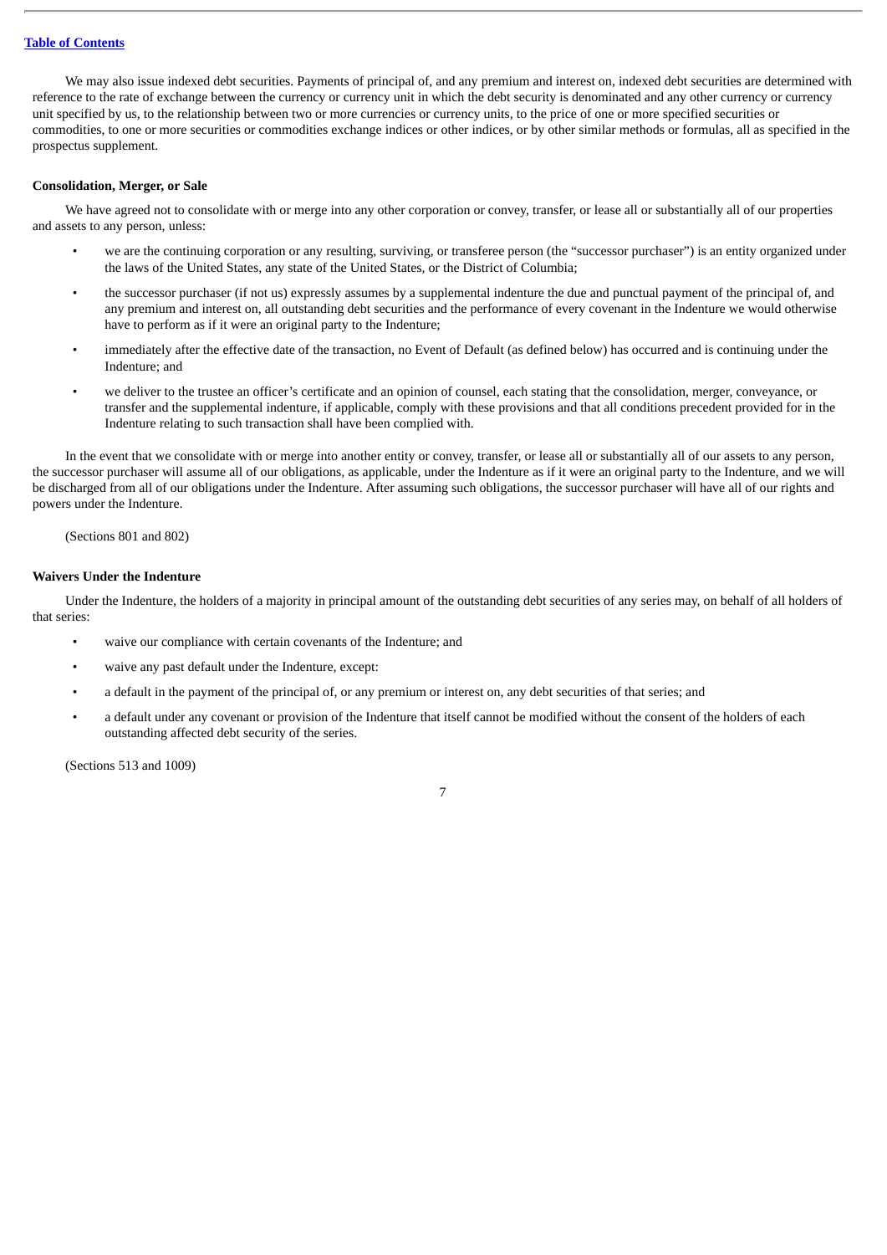We may also issue indexed debt securities. Payments of principal of, and any premium and interest on, indexed debt securities are determined with reference to the rate of exchange between the currency or currency unit in which the debt security is denominated and any other currency or currency unit specified by us, to the relationship between two or more currencies or currency units, to the price of one or more specified securities or commodities, to one or more securities or commodities exchange indices or other indices, or by other similar methods or formulas, all as specified in the prospectus supplement.

#### **Consolidation, Merger, or Sale**

We have agreed not to consolidate with or merge into any other corporation or convey, transfer, or lease all or substantially all of our properties and assets to any person, unless:

- we are the continuing corporation or any resulting, surviving, or transferee person (the "successor purchaser") is an entity organized under the laws of the United States, any state of the United States, or the District of Columbia;
- the successor purchaser (if not us) expressly assumes by a supplemental indenture the due and punctual payment of the principal of, and any premium and interest on, all outstanding debt securities and the performance of every covenant in the Indenture we would otherwise have to perform as if it were an original party to the Indenture;
- immediately after the effective date of the transaction, no Event of Default (as defined below) has occurred and is continuing under the Indenture; and
- we deliver to the trustee an officer's certificate and an opinion of counsel, each stating that the consolidation, merger, conveyance, or transfer and the supplemental indenture, if applicable, comply with these provisions and that all conditions precedent provided for in the Indenture relating to such transaction shall have been complied with.

In the event that we consolidate with or merge into another entity or convey, transfer, or lease all or substantially all of our assets to any person, the successor purchaser will assume all of our obligations, as applicable, under the Indenture as if it were an original party to the Indenture, and we will be discharged from all of our obligations under the Indenture. After assuming such obligations, the successor purchaser will have all of our rights and powers under the Indenture.

(Sections 801 and 802)

#### **Waivers Under the Indenture**

Under the Indenture, the holders of a majority in principal amount of the outstanding debt securities of any series may, on behalf of all holders of that series:

- waive our compliance with certain covenants of the Indenture; and
- waive any past default under the Indenture, except:
- a default in the payment of the principal of, or any premium or interest on, any debt securities of that series; and
- a default under any covenant or provision of the Indenture that itself cannot be modified without the consent of the holders of each outstanding affected debt security of the series.

(Sections 513 and 1009)

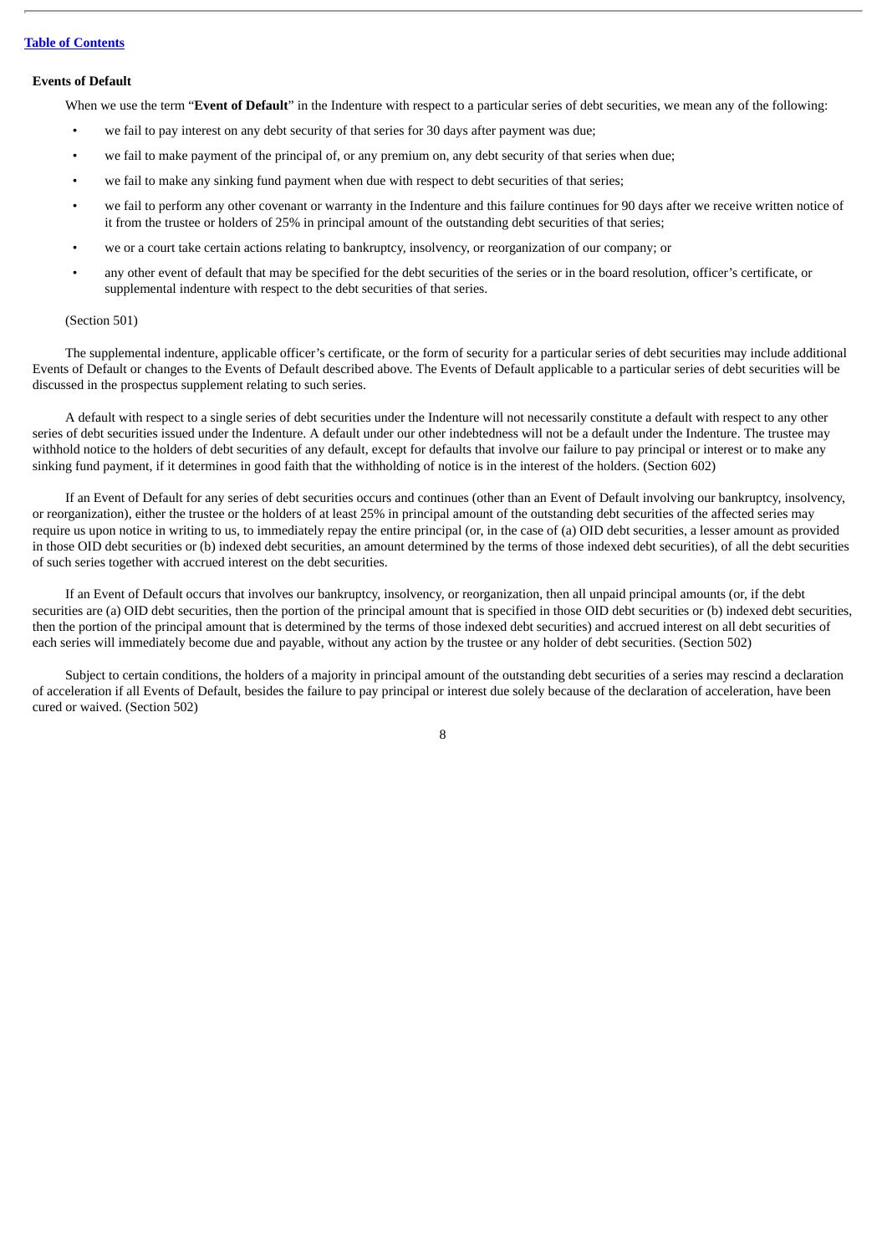#### **Events of Default**

When we use the term "**Event of Default**" in the Indenture with respect to a particular series of debt securities, we mean any of the following:

- we fail to pay interest on any debt security of that series for 30 days after payment was due;
- we fail to make payment of the principal of, or any premium on, any debt security of that series when due;
- we fail to make any sinking fund payment when due with respect to debt securities of that series;
- we fail to perform any other covenant or warranty in the Indenture and this failure continues for 90 days after we receive written notice of it from the trustee or holders of 25% in principal amount of the outstanding debt securities of that series;
- we or a court take certain actions relating to bankruptcy, insolvency, or reorganization of our company; or
- any other event of default that may be specified for the debt securities of the series or in the board resolution, officer's certificate, or supplemental indenture with respect to the debt securities of that series.

#### (Section 501)

The supplemental indenture, applicable officer's certificate, or the form of security for a particular series of debt securities may include additional Events of Default or changes to the Events of Default described above. The Events of Default applicable to a particular series of debt securities will be discussed in the prospectus supplement relating to such series.

A default with respect to a single series of debt securities under the Indenture will not necessarily constitute a default with respect to any other series of debt securities issued under the Indenture. A default under our other indebtedness will not be a default under the Indenture. The trustee may withhold notice to the holders of debt securities of any default, except for defaults that involve our failure to pay principal or interest or to make any sinking fund payment, if it determines in good faith that the withholding of notice is in the interest of the holders. (Section 602)

If an Event of Default for any series of debt securities occurs and continues (other than an Event of Default involving our bankruptcy, insolvency, or reorganization), either the trustee or the holders of at least 25% in principal amount of the outstanding debt securities of the affected series may require us upon notice in writing to us, to immediately repay the entire principal (or, in the case of (a) OID debt securities, a lesser amount as provided in those OID debt securities or (b) indexed debt securities, an amount determined by the terms of those indexed debt securities), of all the debt securities of such series together with accrued interest on the debt securities.

If an Event of Default occurs that involves our bankruptcy, insolvency, or reorganization, then all unpaid principal amounts (or, if the debt securities are (a) OID debt securities, then the portion of the principal amount that is specified in those OID debt securities or (b) indexed debt securities, then the portion of the principal amount that is determined by the terms of those indexed debt securities) and accrued interest on all debt securities of each series will immediately become due and payable, without any action by the trustee or any holder of debt securities. (Section 502)

Subject to certain conditions, the holders of a majority in principal amount of the outstanding debt securities of a series may rescind a declaration of acceleration if all Events of Default, besides the failure to pay principal or interest due solely because of the declaration of acceleration, have been cured or waived. (Section 502)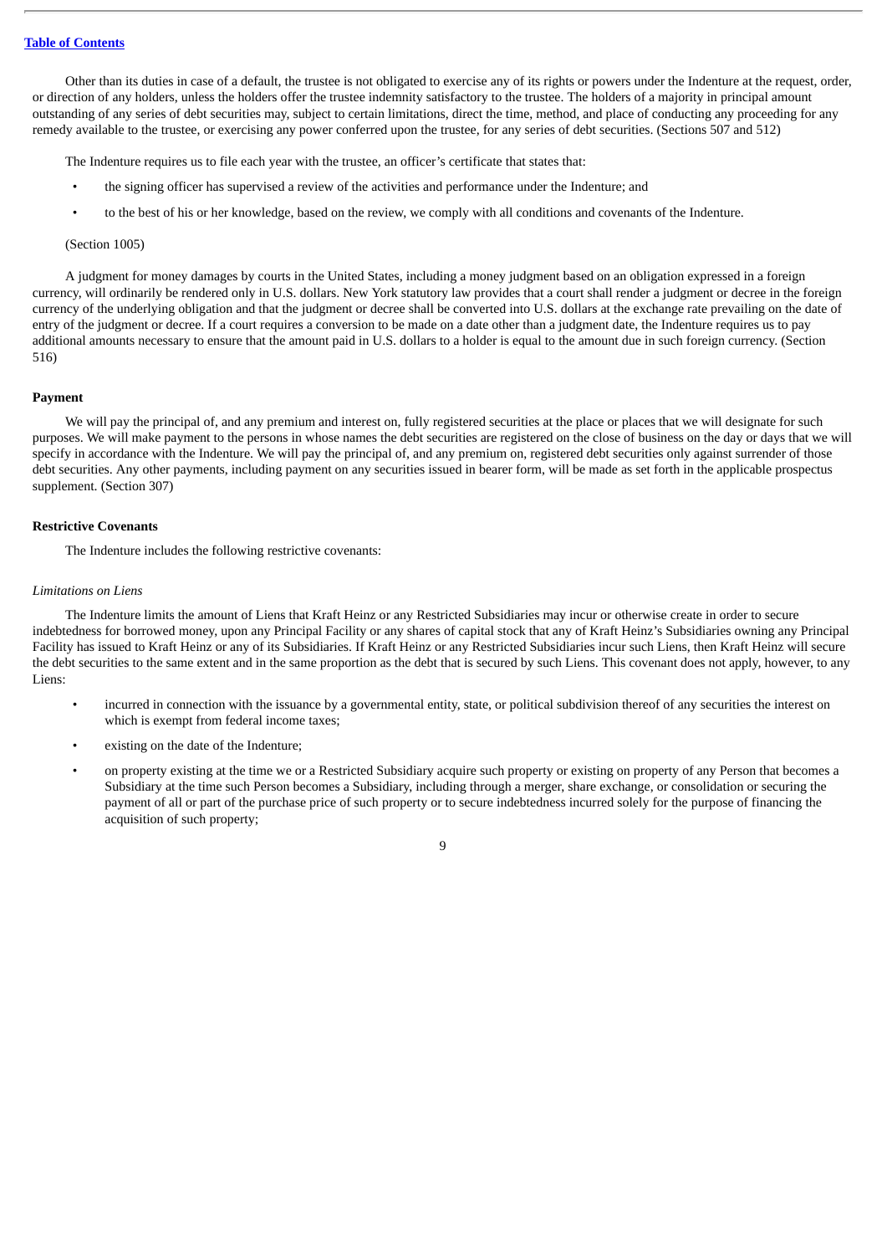Other than its duties in case of a default, the trustee is not obligated to exercise any of its rights or powers under the Indenture at the request, order, or direction of any holders, unless the holders offer the trustee indemnity satisfactory to the trustee. The holders of a majority in principal amount outstanding of any series of debt securities may, subject to certain limitations, direct the time, method, and place of conducting any proceeding for any remedy available to the trustee, or exercising any power conferred upon the trustee, for any series of debt securities. (Sections 507 and 512)

The Indenture requires us to file each year with the trustee, an officer's certificate that states that:

- the signing officer has supervised a review of the activities and performance under the Indenture; and
- to the best of his or her knowledge, based on the review, we comply with all conditions and covenants of the Indenture.

#### (Section 1005)

A judgment for money damages by courts in the United States, including a money judgment based on an obligation expressed in a foreign currency, will ordinarily be rendered only in U.S. dollars. New York statutory law provides that a court shall render a judgment or decree in the foreign currency of the underlying obligation and that the judgment or decree shall be converted into U.S. dollars at the exchange rate prevailing on the date of entry of the judgment or decree. If a court requires a conversion to be made on a date other than a judgment date, the Indenture requires us to pay additional amounts necessary to ensure that the amount paid in U.S. dollars to a holder is equal to the amount due in such foreign currency. (Section 516)

#### **Payment**

We will pay the principal of, and any premium and interest on, fully registered securities at the place or places that we will designate for such purposes. We will make payment to the persons in whose names the debt securities are registered on the close of business on the day or days that we will specify in accordance with the Indenture. We will pay the principal of, and any premium on, registered debt securities only against surrender of those debt securities. Any other payments, including payment on any securities issued in bearer form, will be made as set forth in the applicable prospectus supplement. (Section 307)

#### **Restrictive Covenants**

The Indenture includes the following restrictive covenants:

#### *Limitations on Liens*

The Indenture limits the amount of Liens that Kraft Heinz or any Restricted Subsidiaries may incur or otherwise create in order to secure indebtedness for borrowed money, upon any Principal Facility or any shares of capital stock that any of Kraft Heinz's Subsidiaries owning any Principal Facility has issued to Kraft Heinz or any of its Subsidiaries. If Kraft Heinz or any Restricted Subsidiaries incur such Liens, then Kraft Heinz will secure the debt securities to the same extent and in the same proportion as the debt that is secured by such Liens. This covenant does not apply, however, to any Liens:

- incurred in connection with the issuance by a governmental entity, state, or political subdivision thereof of any securities the interest on which is exempt from federal income taxes;
- existing on the date of the Indenture;
- on property existing at the time we or a Restricted Subsidiary acquire such property or existing on property of any Person that becomes a Subsidiary at the time such Person becomes a Subsidiary, including through a merger, share exchange, or consolidation or securing the payment of all or part of the purchase price of such property or to secure indebtedness incurred solely for the purpose of financing the acquisition of such property;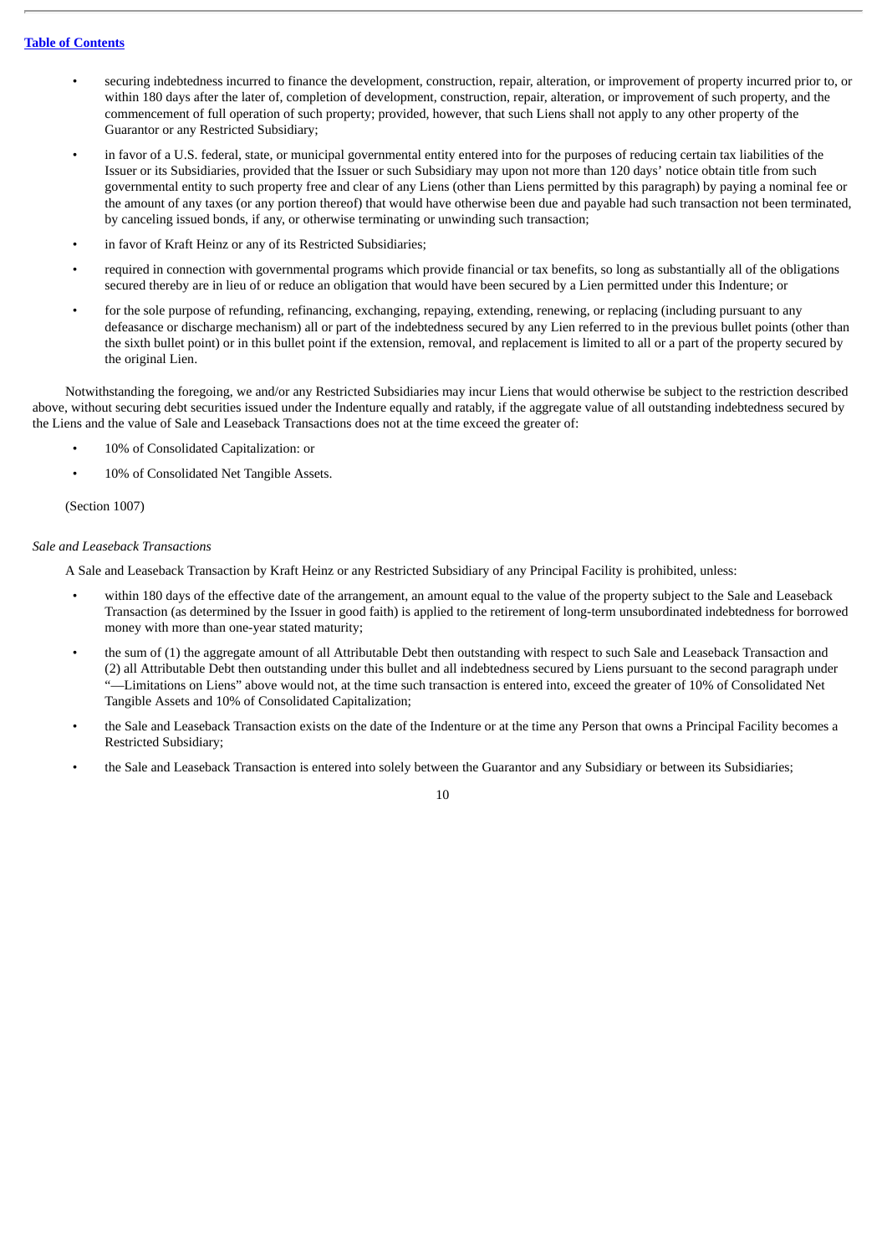- securing indebtedness incurred to finance the development, construction, repair, alteration, or improvement of property incurred prior to, or within 180 days after the later of, completion of development, construction, repair, alteration, or improvement of such property, and the commencement of full operation of such property; provided, however, that such Liens shall not apply to any other property of the Guarantor or any Restricted Subsidiary;
- in favor of a U.S. federal, state, or municipal governmental entity entered into for the purposes of reducing certain tax liabilities of the Issuer or its Subsidiaries, provided that the Issuer or such Subsidiary may upon not more than 120 days' notice obtain title from such governmental entity to such property free and clear of any Liens (other than Liens permitted by this paragraph) by paying a nominal fee or the amount of any taxes (or any portion thereof) that would have otherwise been due and payable had such transaction not been terminated, by canceling issued bonds, if any, or otherwise terminating or unwinding such transaction;
- in favor of Kraft Heinz or any of its Restricted Subsidiaries;
- required in connection with governmental programs which provide financial or tax benefits, so long as substantially all of the obligations secured thereby are in lieu of or reduce an obligation that would have been secured by a Lien permitted under this Indenture; or
- for the sole purpose of refunding, refinancing, exchanging, repaying, extending, renewing, or replacing (including pursuant to any defeasance or discharge mechanism) all or part of the indebtedness secured by any Lien referred to in the previous bullet points (other than the sixth bullet point) or in this bullet point if the extension, removal, and replacement is limited to all or a part of the property secured by the original Lien.

Notwithstanding the foregoing, we and/or any Restricted Subsidiaries may incur Liens that would otherwise be subject to the restriction described above, without securing debt securities issued under the Indenture equally and ratably, if the aggregate value of all outstanding indebtedness secured by the Liens and the value of Sale and Leaseback Transactions does not at the time exceed the greater of:

- 10% of Consolidated Capitalization: or
- 10% of Consolidated Net Tangible Assets.

(Section 1007)

#### *Sale and Leaseback Transactions*

A Sale and Leaseback Transaction by Kraft Heinz or any Restricted Subsidiary of any Principal Facility is prohibited, unless:

- within 180 days of the effective date of the arrangement, an amount equal to the value of the property subject to the Sale and Leaseback Transaction (as determined by the Issuer in good faith) is applied to the retirement of long-term unsubordinated indebtedness for borrowed money with more than one-year stated maturity;
- the sum of (1) the aggregate amount of all Attributable Debt then outstanding with respect to such Sale and Leaseback Transaction and (2) all Attributable Debt then outstanding under this bullet and all indebtedness secured by Liens pursuant to the second paragraph under "—Limitations on Liens" above would not, at the time such transaction is entered into, exceed the greater of 10% of Consolidated Net Tangible Assets and 10% of Consolidated Capitalization;
- the Sale and Leaseback Transaction exists on the date of the Indenture or at the time any Person that owns a Principal Facility becomes a Restricted Subsidiary;
- the Sale and Leaseback Transaction is entered into solely between the Guarantor and any Subsidiary or between its Subsidiaries;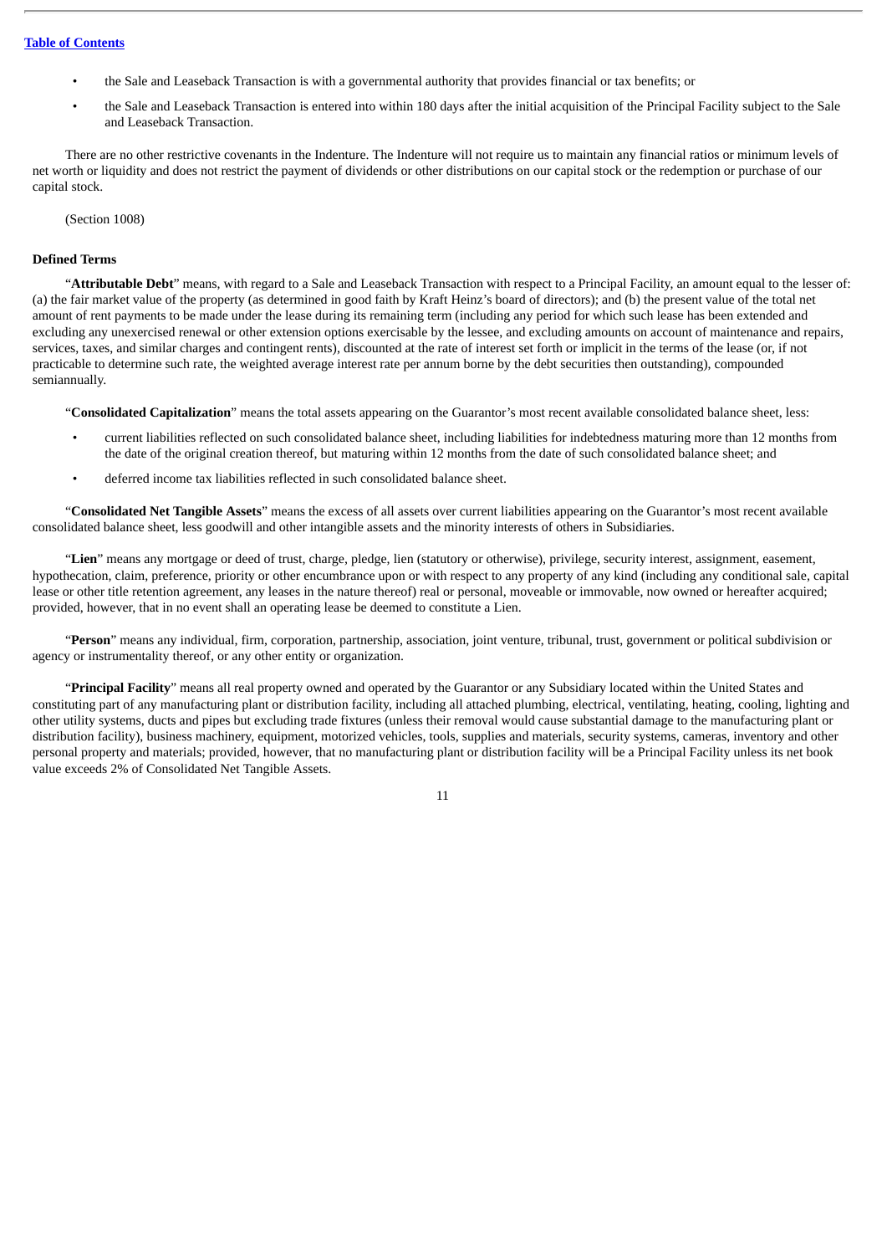- the Sale and Leaseback Transaction is with a governmental authority that provides financial or tax benefits; or
- the Sale and Leaseback Transaction is entered into within 180 days after the initial acquisition of the Principal Facility subject to the Sale and Leaseback Transaction.

There are no other restrictive covenants in the Indenture. The Indenture will not require us to maintain any financial ratios or minimum levels of net worth or liquidity and does not restrict the payment of dividends or other distributions on our capital stock or the redemption or purchase of our capital stock.

(Section 1008)

#### **Defined Terms**

"**Attributable Debt**" means, with regard to a Sale and Leaseback Transaction with respect to a Principal Facility, an amount equal to the lesser of: (a) the fair market value of the property (as determined in good faith by Kraft Heinz's board of directors); and (b) the present value of the total net amount of rent payments to be made under the lease during its remaining term (including any period for which such lease has been extended and excluding any unexercised renewal or other extension options exercisable by the lessee, and excluding amounts on account of maintenance and repairs, services, taxes, and similar charges and contingent rents), discounted at the rate of interest set forth or implicit in the terms of the lease (or, if not practicable to determine such rate, the weighted average interest rate per annum borne by the debt securities then outstanding), compounded semiannually.

"**Consolidated Capitalization**" means the total assets appearing on the Guarantor's most recent available consolidated balance sheet, less:

- current liabilities reflected on such consolidated balance sheet, including liabilities for indebtedness maturing more than 12 months from the date of the original creation thereof, but maturing within 12 months from the date of such consolidated balance sheet; and
- deferred income tax liabilities reflected in such consolidated balance sheet.

"**Consolidated Net Tangible Assets**" means the excess of all assets over current liabilities appearing on the Guarantor's most recent available consolidated balance sheet, less goodwill and other intangible assets and the minority interests of others in Subsidiaries.

"**Lien**" means any mortgage or deed of trust, charge, pledge, lien (statutory or otherwise), privilege, security interest, assignment, easement, hypothecation, claim, preference, priority or other encumbrance upon or with respect to any property of any kind (including any conditional sale, capital lease or other title retention agreement, any leases in the nature thereof) real or personal, moveable or immovable, now owned or hereafter acquired; provided, however, that in no event shall an operating lease be deemed to constitute a Lien.

"**Person**" means any individual, firm, corporation, partnership, association, joint venture, tribunal, trust, government or political subdivision or agency or instrumentality thereof, or any other entity or organization.

"**Principal Facility**" means all real property owned and operated by the Guarantor or any Subsidiary located within the United States and constituting part of any manufacturing plant or distribution facility, including all attached plumbing, electrical, ventilating, heating, cooling, lighting and other utility systems, ducts and pipes but excluding trade fixtures (unless their removal would cause substantial damage to the manufacturing plant or distribution facility), business machinery, equipment, motorized vehicles, tools, supplies and materials, security systems, cameras, inventory and other personal property and materials; provided, however, that no manufacturing plant or distribution facility will be a Principal Facility unless its net book value exceeds 2% of Consolidated Net Tangible Assets.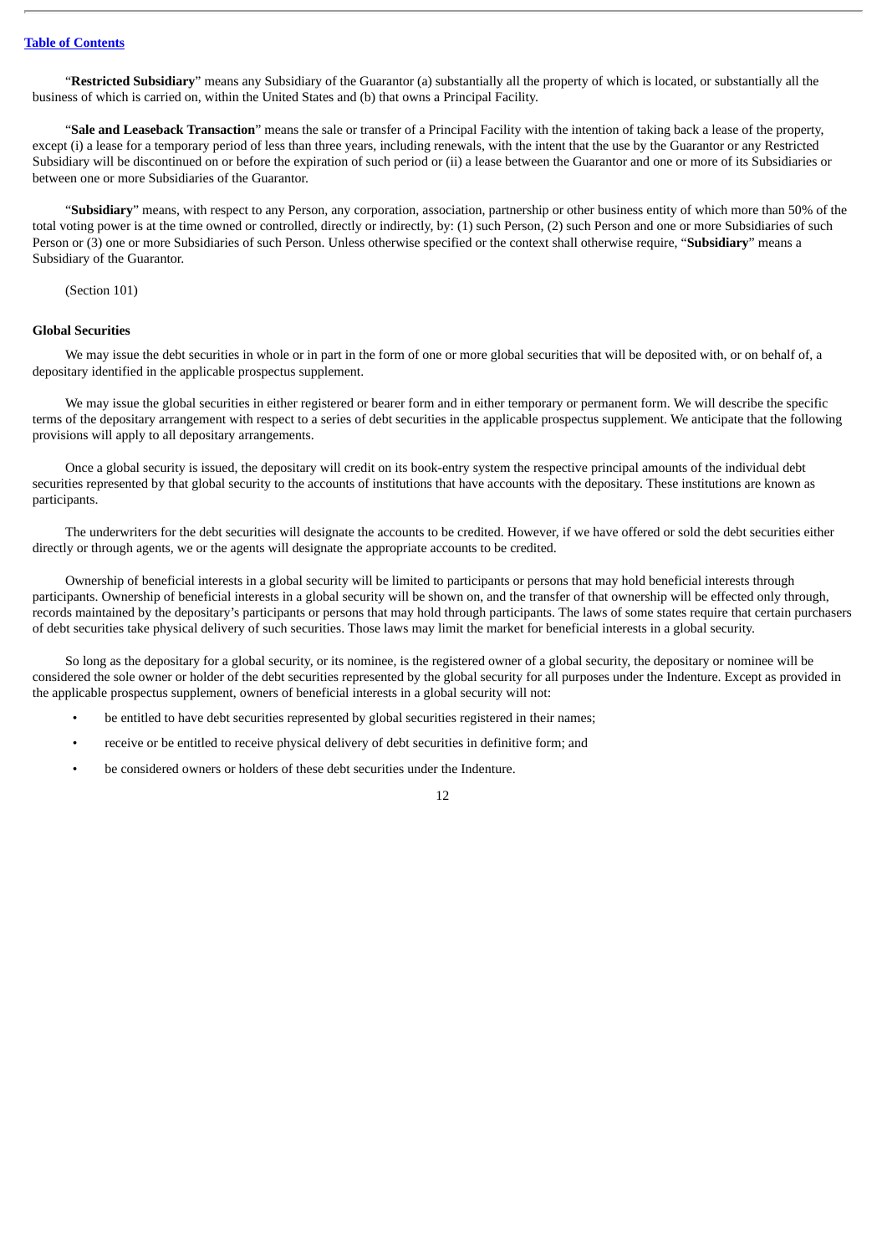"**Restricted Subsidiary**" means any Subsidiary of the Guarantor (a) substantially all the property of which is located, or substantially all the business of which is carried on, within the United States and (b) that owns a Principal Facility.

"**Sale and Leaseback Transaction**" means the sale or transfer of a Principal Facility with the intention of taking back a lease of the property, except (i) a lease for a temporary period of less than three years, including renewals, with the intent that the use by the Guarantor or any Restricted Subsidiary will be discontinued on or before the expiration of such period or (ii) a lease between the Guarantor and one or more of its Subsidiaries or between one or more Subsidiaries of the Guarantor.

"**Subsidiary**" means, with respect to any Person, any corporation, association, partnership or other business entity of which more than 50% of the total voting power is at the time owned or controlled, directly or indirectly, by: (1) such Person, (2) such Person and one or more Subsidiaries of such Person or (3) one or more Subsidiaries of such Person. Unless otherwise specified or the context shall otherwise require, "**Subsidiary**" means a Subsidiary of the Guarantor.

#### (Section 101)

#### **Global Securities**

We may issue the debt securities in whole or in part in the form of one or more global securities that will be deposited with, or on behalf of, a depositary identified in the applicable prospectus supplement.

We may issue the global securities in either registered or bearer form and in either temporary or permanent form. We will describe the specific terms of the depositary arrangement with respect to a series of debt securities in the applicable prospectus supplement. We anticipate that the following provisions will apply to all depositary arrangements.

Once a global security is issued, the depositary will credit on its book-entry system the respective principal amounts of the individual debt securities represented by that global security to the accounts of institutions that have accounts with the depositary. These institutions are known as participants.

The underwriters for the debt securities will designate the accounts to be credited. However, if we have offered or sold the debt securities either directly or through agents, we or the agents will designate the appropriate accounts to be credited.

Ownership of beneficial interests in a global security will be limited to participants or persons that may hold beneficial interests through participants. Ownership of beneficial interests in a global security will be shown on, and the transfer of that ownership will be effected only through, records maintained by the depositary's participants or persons that may hold through participants. The laws of some states require that certain purchasers of debt securities take physical delivery of such securities. Those laws may limit the market for beneficial interests in a global security.

So long as the depositary for a global security, or its nominee, is the registered owner of a global security, the depositary or nominee will be considered the sole owner or holder of the debt securities represented by the global security for all purposes under the Indenture. Except as provided in the applicable prospectus supplement, owners of beneficial interests in a global security will not:

- be entitled to have debt securities represented by global securities registered in their names;
- receive or be entitled to receive physical delivery of debt securities in definitive form; and
- be considered owners or holders of these debt securities under the Indenture.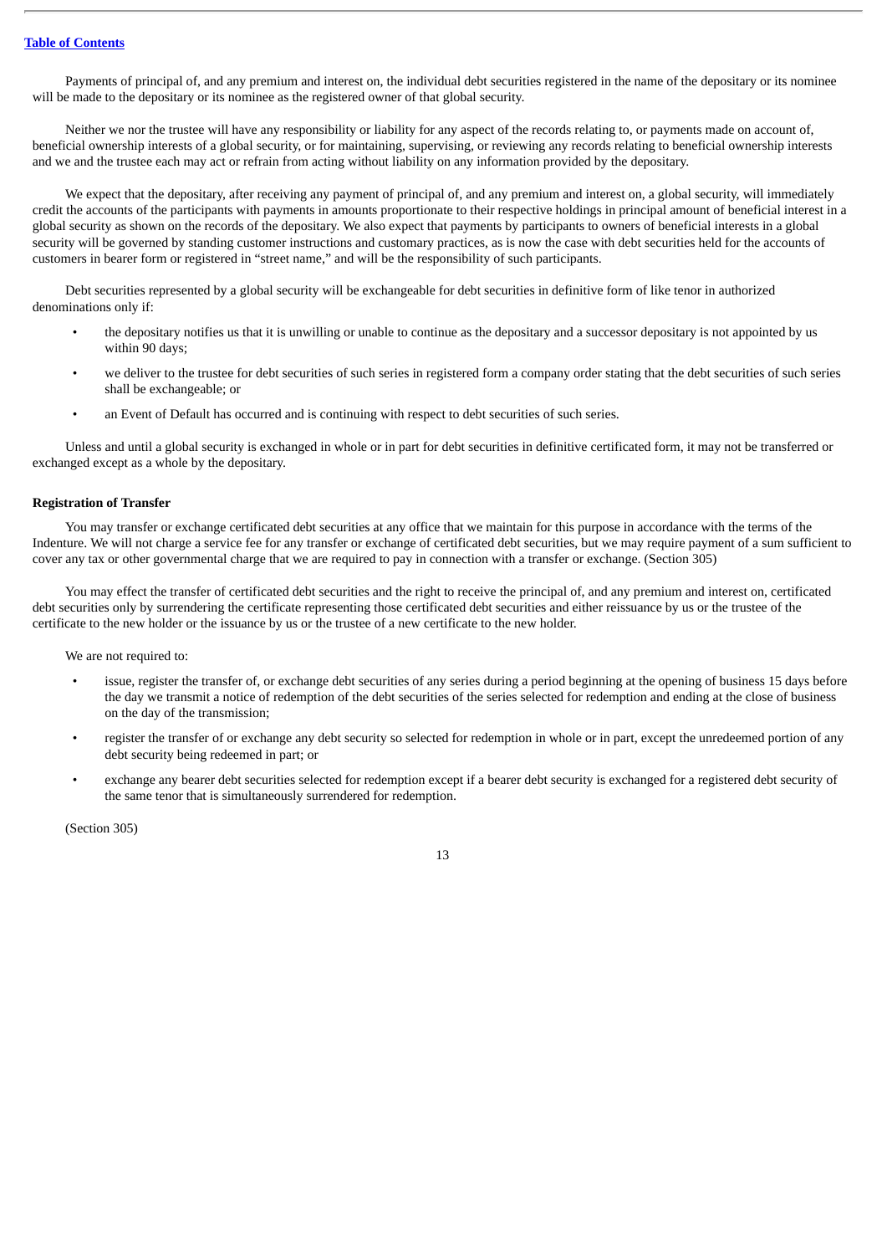Payments of principal of, and any premium and interest on, the individual debt securities registered in the name of the depositary or its nominee will be made to the depositary or its nominee as the registered owner of that global security.

Neither we nor the trustee will have any responsibility or liability for any aspect of the records relating to, or payments made on account of, beneficial ownership interests of a global security, or for maintaining, supervising, or reviewing any records relating to beneficial ownership interests and we and the trustee each may act or refrain from acting without liability on any information provided by the depositary.

We expect that the depositary, after receiving any payment of principal of, and any premium and interest on, a global security, will immediately credit the accounts of the participants with payments in amounts proportionate to their respective holdings in principal amount of beneficial interest in a global security as shown on the records of the depositary. We also expect that payments by participants to owners of beneficial interests in a global security will be governed by standing customer instructions and customary practices, as is now the case with debt securities held for the accounts of customers in bearer form or registered in "street name," and will be the responsibility of such participants.

Debt securities represented by a global security will be exchangeable for debt securities in definitive form of like tenor in authorized denominations only if:

- the depositary notifies us that it is unwilling or unable to continue as the depositary and a successor depositary is not appointed by us within 90 days;
- we deliver to the trustee for debt securities of such series in registered form a company order stating that the debt securities of such series shall be exchangeable; or
- an Event of Default has occurred and is continuing with respect to debt securities of such series.

Unless and until a global security is exchanged in whole or in part for debt securities in definitive certificated form, it may not be transferred or exchanged except as a whole by the depositary.

#### **Registration of Transfer**

You may transfer or exchange certificated debt securities at any office that we maintain for this purpose in accordance with the terms of the Indenture. We will not charge a service fee for any transfer or exchange of certificated debt securities, but we may require payment of a sum sufficient to cover any tax or other governmental charge that we are required to pay in connection with a transfer or exchange. (Section 305)

You may effect the transfer of certificated debt securities and the right to receive the principal of, and any premium and interest on, certificated debt securities only by surrendering the certificate representing those certificated debt securities and either reissuance by us or the trustee of the certificate to the new holder or the issuance by us or the trustee of a new certificate to the new holder.

We are not required to:

- issue, register the transfer of, or exchange debt securities of any series during a period beginning at the opening of business 15 days before the day we transmit a notice of redemption of the debt securities of the series selected for redemption and ending at the close of business on the day of the transmission;
- register the transfer of or exchange any debt security so selected for redemption in whole or in part, except the unredeemed portion of any debt security being redeemed in part; or
- exchange any bearer debt securities selected for redemption except if a bearer debt security is exchanged for a registered debt security of the same tenor that is simultaneously surrendered for redemption.

(Section 305)

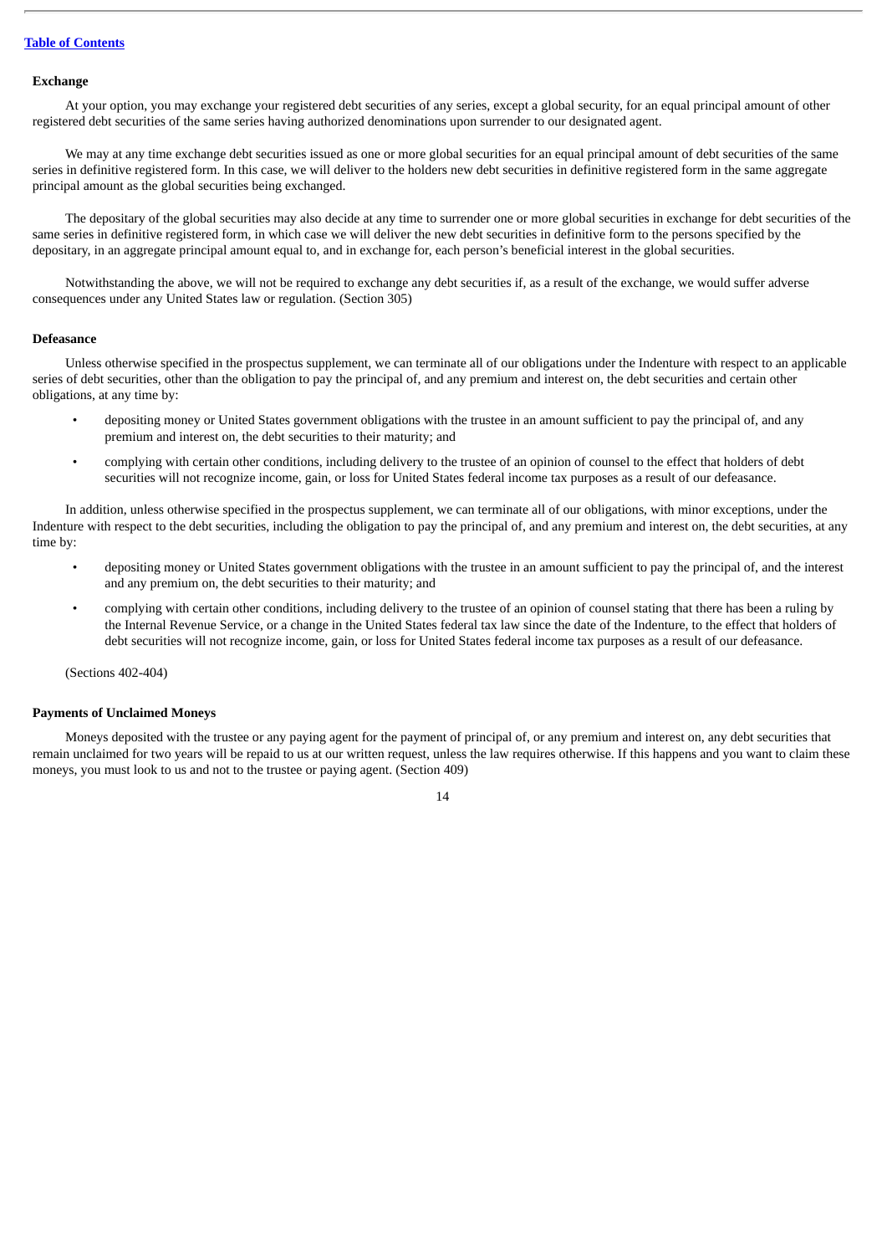#### **Exchange**

At your option, you may exchange your registered debt securities of any series, except a global security, for an equal principal amount of other registered debt securities of the same series having authorized denominations upon surrender to our designated agent.

We may at any time exchange debt securities issued as one or more global securities for an equal principal amount of debt securities of the same series in definitive registered form. In this case, we will deliver to the holders new debt securities in definitive registered form in the same aggregate principal amount as the global securities being exchanged.

The depositary of the global securities may also decide at any time to surrender one or more global securities in exchange for debt securities of the same series in definitive registered form, in which case we will deliver the new debt securities in definitive form to the persons specified by the depositary, in an aggregate principal amount equal to, and in exchange for, each person's beneficial interest in the global securities.

Notwithstanding the above, we will not be required to exchange any debt securities if, as a result of the exchange, we would suffer adverse consequences under any United States law or regulation. (Section 305)

#### **Defeasance**

Unless otherwise specified in the prospectus supplement, we can terminate all of our obligations under the Indenture with respect to an applicable series of debt securities, other than the obligation to pay the principal of, and any premium and interest on, the debt securities and certain other obligations, at any time by:

- depositing money or United States government obligations with the trustee in an amount sufficient to pay the principal of, and any premium and interest on, the debt securities to their maturity; and
- complying with certain other conditions, including delivery to the trustee of an opinion of counsel to the effect that holders of debt securities will not recognize income, gain, or loss for United States federal income tax purposes as a result of our defeasance.

In addition, unless otherwise specified in the prospectus supplement, we can terminate all of our obligations, with minor exceptions, under the Indenture with respect to the debt securities, including the obligation to pay the principal of, and any premium and interest on, the debt securities, at any time by:

- depositing money or United States government obligations with the trustee in an amount sufficient to pay the principal of, and the interest and any premium on, the debt securities to their maturity; and
- complying with certain other conditions, including delivery to the trustee of an opinion of counsel stating that there has been a ruling by the Internal Revenue Service, or a change in the United States federal tax law since the date of the Indenture, to the effect that holders of debt securities will not recognize income, gain, or loss for United States federal income tax purposes as a result of our defeasance.

(Sections 402-404)

#### **Payments of Unclaimed Moneys**

Moneys deposited with the trustee or any paying agent for the payment of principal of, or any premium and interest on, any debt securities that remain unclaimed for two years will be repaid to us at our written request, unless the law requires otherwise. If this happens and you want to claim these moneys, you must look to us and not to the trustee or paying agent. (Section 409)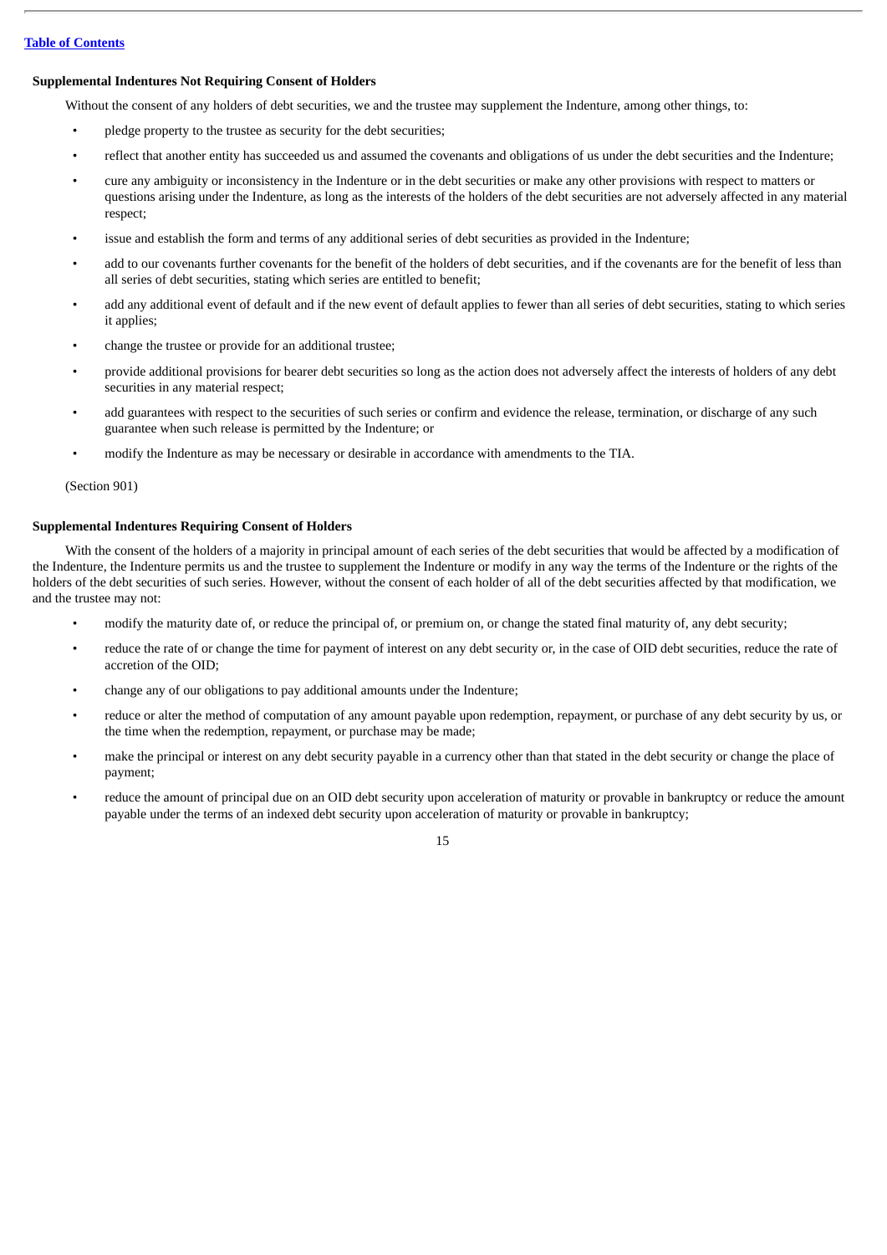#### **Supplemental Indentures Not Requiring Consent of Holders**

Without the consent of any holders of debt securities, we and the trustee may supplement the Indenture, among other things, to:

- pledge property to the trustee as security for the debt securities;
- reflect that another entity has succeeded us and assumed the covenants and obligations of us under the debt securities and the Indenture;
- cure any ambiguity or inconsistency in the Indenture or in the debt securities or make any other provisions with respect to matters or questions arising under the Indenture, as long as the interests of the holders of the debt securities are not adversely affected in any material respect;
- issue and establish the form and terms of any additional series of debt securities as provided in the Indenture;
- add to our covenants further covenants for the benefit of the holders of debt securities, and if the covenants are for the benefit of less than all series of debt securities, stating which series are entitled to benefit;
- add any additional event of default and if the new event of default applies to fewer than all series of debt securities, stating to which series it applies;
- change the trustee or provide for an additional trustee;
- provide additional provisions for bearer debt securities so long as the action does not adversely affect the interests of holders of any debt securities in any material respect;
- add guarantees with respect to the securities of such series or confirm and evidence the release, termination, or discharge of any such guarantee when such release is permitted by the Indenture; or
- modify the Indenture as may be necessary or desirable in accordance with amendments to the TIA.

(Section 901)

#### **Supplemental Indentures Requiring Consent of Holders**

With the consent of the holders of a majority in principal amount of each series of the debt securities that would be affected by a modification of the Indenture, the Indenture permits us and the trustee to supplement the Indenture or modify in any way the terms of the Indenture or the rights of the holders of the debt securities of such series. However, without the consent of each holder of all of the debt securities affected by that modification, we and the trustee may not:

- modify the maturity date of, or reduce the principal of, or premium on, or change the stated final maturity of, any debt security;
- reduce the rate of or change the time for payment of interest on any debt security or, in the case of OID debt securities, reduce the rate of accretion of the OID;
- change any of our obligations to pay additional amounts under the Indenture;
- reduce or alter the method of computation of any amount payable upon redemption, repayment, or purchase of any debt security by us, or the time when the redemption, repayment, or purchase may be made;
- make the principal or interest on any debt security payable in a currency other than that stated in the debt security or change the place of payment;
- reduce the amount of principal due on an OID debt security upon acceleration of maturity or provable in bankruptcy or reduce the amount payable under the terms of an indexed debt security upon acceleration of maturity or provable in bankruptcy;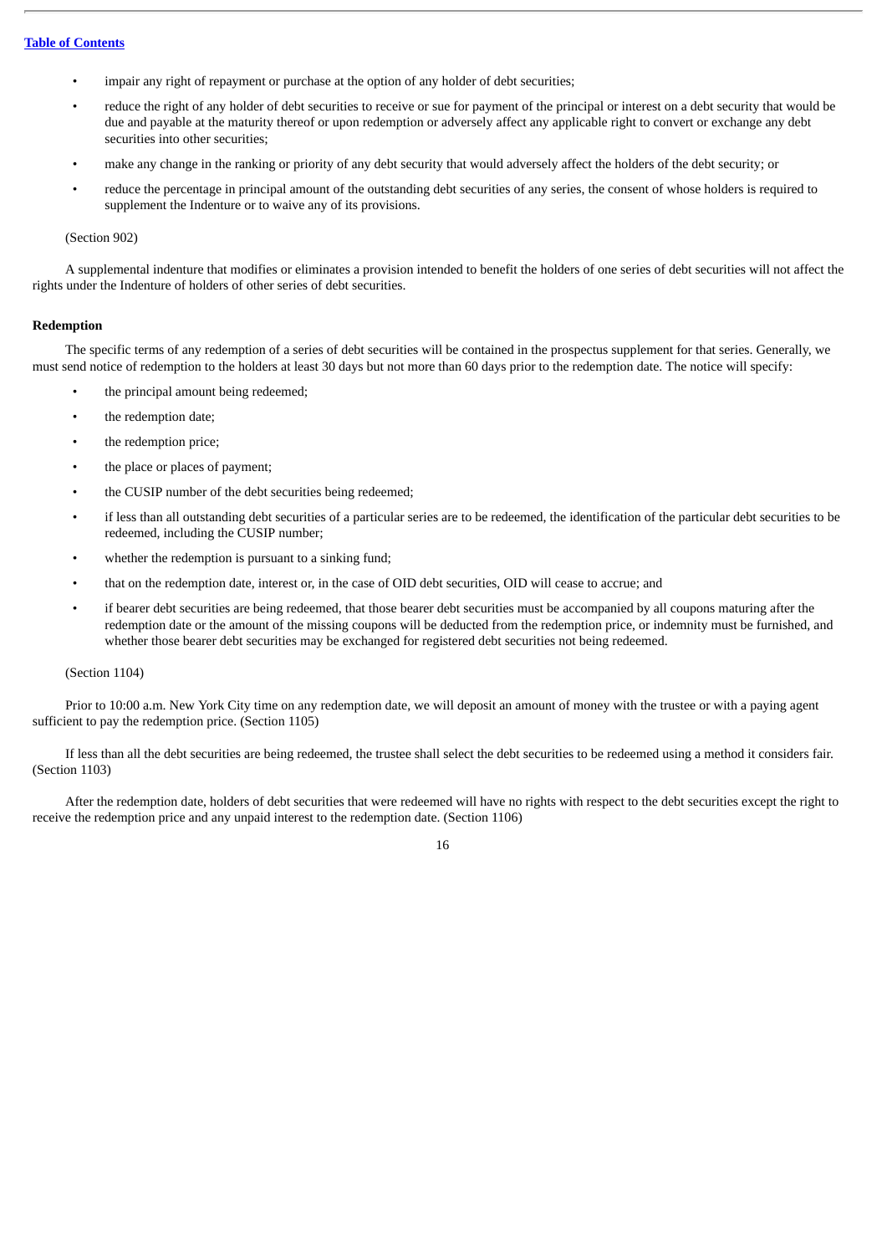- impair any right of repayment or purchase at the option of any holder of debt securities;
- reduce the right of any holder of debt securities to receive or sue for payment of the principal or interest on a debt security that would be due and payable at the maturity thereof or upon redemption or adversely affect any applicable right to convert or exchange any debt securities into other securities;
- make any change in the ranking or priority of any debt security that would adversely affect the holders of the debt security; or
- reduce the percentage in principal amount of the outstanding debt securities of any series, the consent of whose holders is required to supplement the Indenture or to waive any of its provisions.

#### (Section 902)

A supplemental indenture that modifies or eliminates a provision intended to benefit the holders of one series of debt securities will not affect the rights under the Indenture of holders of other series of debt securities.

#### **Redemption**

The specific terms of any redemption of a series of debt securities will be contained in the prospectus supplement for that series. Generally, we must send notice of redemption to the holders at least 30 days but not more than 60 days prior to the redemption date. The notice will specify:

- the principal amount being redeemed;
- the redemption date;
- the redemption price;
- the place or places of payment;
- the CUSIP number of the debt securities being redeemed;
- if less than all outstanding debt securities of a particular series are to be redeemed, the identification of the particular debt securities to be redeemed, including the CUSIP number;
- whether the redemption is pursuant to a sinking fund;
- that on the redemption date, interest or, in the case of OID debt securities, OID will cease to accrue; and
- if bearer debt securities are being redeemed, that those bearer debt securities must be accompanied by all coupons maturing after the redemption date or the amount of the missing coupons will be deducted from the redemption price, or indemnity must be furnished, and whether those bearer debt securities may be exchanged for registered debt securities not being redeemed.

#### (Section 1104)

Prior to 10:00 a.m. New York City time on any redemption date, we will deposit an amount of money with the trustee or with a paying agent sufficient to pay the redemption price. (Section 1105)

If less than all the debt securities are being redeemed, the trustee shall select the debt securities to be redeemed using a method it considers fair. (Section 1103)

After the redemption date, holders of debt securities that were redeemed will have no rights with respect to the debt securities except the right to receive the redemption price and any unpaid interest to the redemption date. (Section 1106)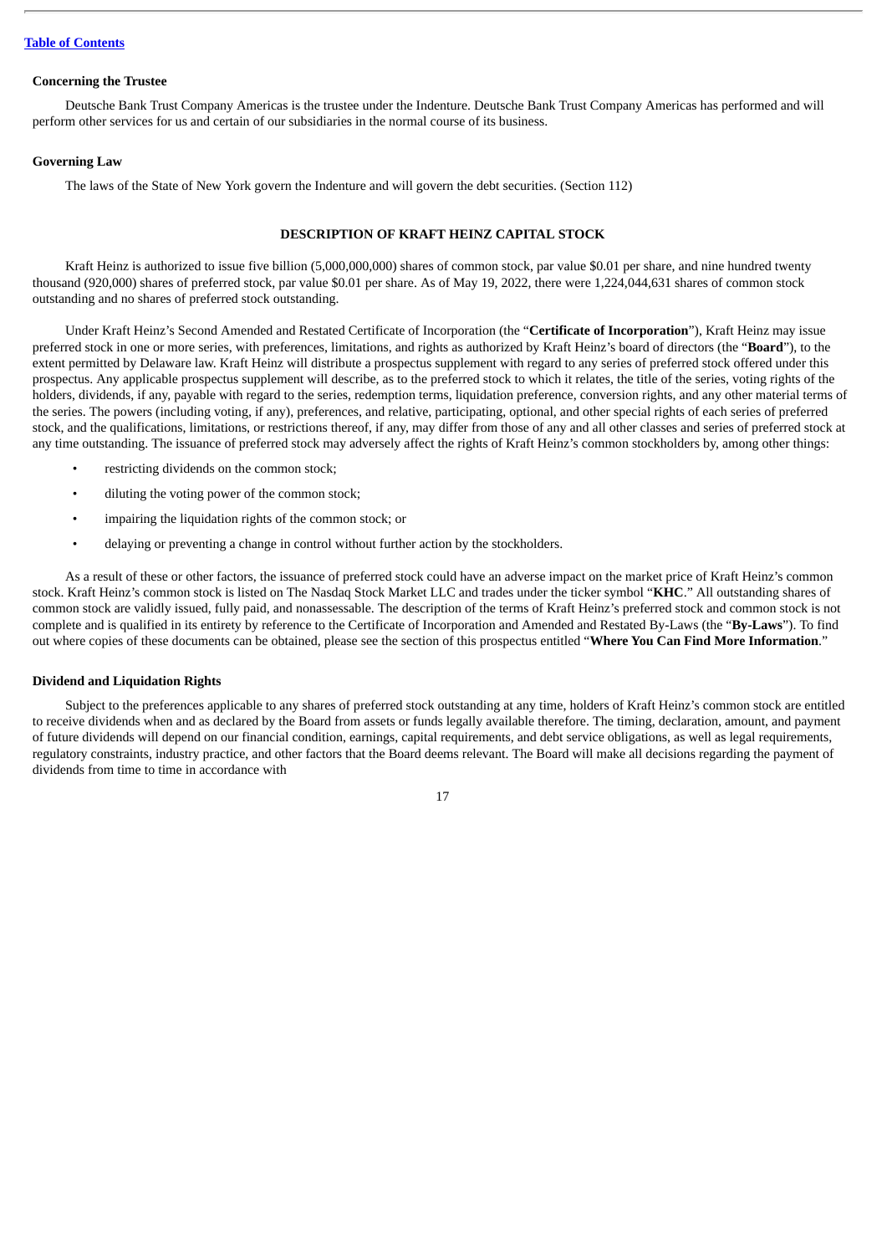#### **Concerning the Trustee**

Deutsche Bank Trust Company Americas is the trustee under the Indenture. Deutsche Bank Trust Company Americas has performed and will perform other services for us and certain of our subsidiaries in the normal course of its business.

#### **Governing Law**

The laws of the State of New York govern the Indenture and will govern the debt securities. (Section 112)

#### **DESCRIPTION OF KRAFT HEINZ CAPITAL STOCK**

<span id="page-19-0"></span>Kraft Heinz is authorized to issue five billion (5,000,000,000) shares of common stock, par value \$0.01 per share, and nine hundred twenty thousand (920,000) shares of preferred stock, par value \$0.01 per share. As of May 19, 2022, there were 1,224,044,631 shares of common stock outstanding and no shares of preferred stock outstanding.

Under Kraft Heinz's Second Amended and Restated Certificate of Incorporation (the "**Certificate of Incorporation**"), Kraft Heinz may issue preferred stock in one or more series, with preferences, limitations, and rights as authorized by Kraft Heinz's board of directors (the "**Board**"), to the extent permitted by Delaware law. Kraft Heinz will distribute a prospectus supplement with regard to any series of preferred stock offered under this prospectus. Any applicable prospectus supplement will describe, as to the preferred stock to which it relates, the title of the series, voting rights of the holders, dividends, if any, payable with regard to the series, redemption terms, liquidation preference, conversion rights, and any other material terms of the series. The powers (including voting, if any), preferences, and relative, participating, optional, and other special rights of each series of preferred stock, and the qualifications, limitations, or restrictions thereof, if any, may differ from those of any and all other classes and series of preferred stock at any time outstanding. The issuance of preferred stock may adversely affect the rights of Kraft Heinz's common stockholders by, among other things:

- restricting dividends on the common stock;
- diluting the voting power of the common stock;
- impairing the liquidation rights of the common stock; or
- delaying or preventing a change in control without further action by the stockholders.

As a result of these or other factors, the issuance of preferred stock could have an adverse impact on the market price of Kraft Heinz's common stock. Kraft Heinz's common stock is listed on The Nasdaq Stock Market LLC and trades under the ticker symbol "**KHC**." All outstanding shares of common stock are validly issued, fully paid, and nonassessable. The description of the terms of Kraft Heinz's preferred stock and common stock is not complete and is qualified in its entirety by reference to the Certificate of Incorporation and Amended and Restated By-Laws (the "**By-Laws**"). To find out where copies of these documents can be obtained, please see the section of this prospectus entitled "**Where You Can Find More Information**."

#### **Dividend and Liquidation Rights**

Subject to the preferences applicable to any shares of preferred stock outstanding at any time, holders of Kraft Heinz's common stock are entitled to receive dividends when and as declared by the Board from assets or funds legally available therefore. The timing, declaration, amount, and payment of future dividends will depend on our financial condition, earnings, capital requirements, and debt service obligations, as well as legal requirements, regulatory constraints, industry practice, and other factors that the Board deems relevant. The Board will make all decisions regarding the payment of dividends from time to time in accordance with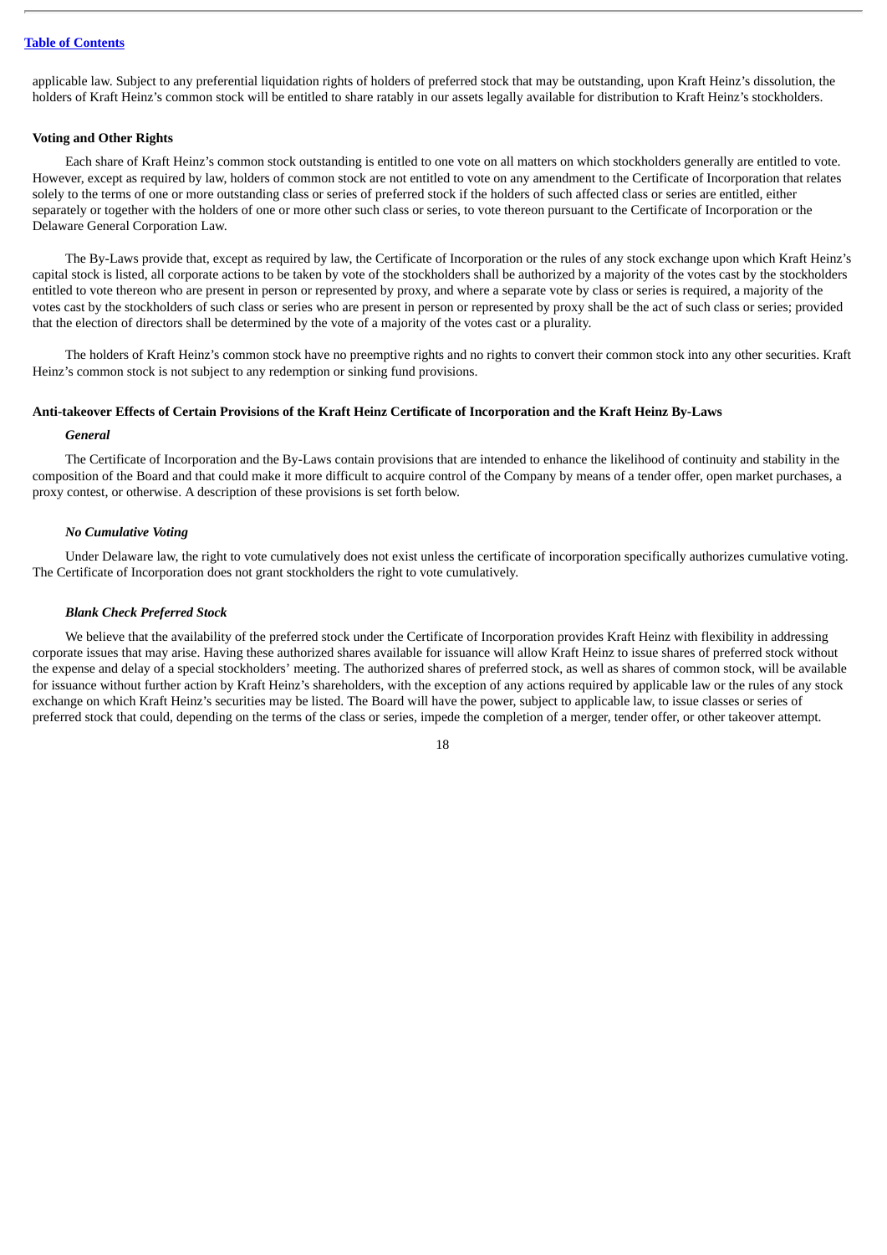applicable law. Subject to any preferential liquidation rights of holders of preferred stock that may be outstanding, upon Kraft Heinz's dissolution, the holders of Kraft Heinz's common stock will be entitled to share ratably in our assets legally available for distribution to Kraft Heinz's stockholders.

#### **Voting and Other Rights**

Each share of Kraft Heinz's common stock outstanding is entitled to one vote on all matters on which stockholders generally are entitled to vote. However, except as required by law, holders of common stock are not entitled to vote on any amendment to the Certificate of Incorporation that relates solely to the terms of one or more outstanding class or series of preferred stock if the holders of such affected class or series are entitled, either separately or together with the holders of one or more other such class or series, to vote thereon pursuant to the Certificate of Incorporation or the Delaware General Corporation Law.

The By-Laws provide that, except as required by law, the Certificate of Incorporation or the rules of any stock exchange upon which Kraft Heinz's capital stock is listed, all corporate actions to be taken by vote of the stockholders shall be authorized by a majority of the votes cast by the stockholders entitled to vote thereon who are present in person or represented by proxy, and where a separate vote by class or series is required, a majority of the votes cast by the stockholders of such class or series who are present in person or represented by proxy shall be the act of such class or series; provided that the election of directors shall be determined by the vote of a majority of the votes cast or a plurality.

The holders of Kraft Heinz's common stock have no preemptive rights and no rights to convert their common stock into any other securities. Kraft Heinz's common stock is not subject to any redemption or sinking fund provisions.

#### Anti-takeover Effects of Certain Provisions of the Kraft Heinz Certificate of Incorporation and the Kraft Heinz By-Laws

#### *General*

The Certificate of Incorporation and the By-Laws contain provisions that are intended to enhance the likelihood of continuity and stability in the composition of the Board and that could make it more difficult to acquire control of the Company by means of a tender offer, open market purchases, a proxy contest, or otherwise. A description of these provisions is set forth below.

#### *No Cumulative Voting*

Under Delaware law, the right to vote cumulatively does not exist unless the certificate of incorporation specifically authorizes cumulative voting. The Certificate of Incorporation does not grant stockholders the right to vote cumulatively.

#### *Blank Check Preferred Stock*

We believe that the availability of the preferred stock under the Certificate of Incorporation provides Kraft Heinz with flexibility in addressing corporate issues that may arise. Having these authorized shares available for issuance will allow Kraft Heinz to issue shares of preferred stock without the expense and delay of a special stockholders' meeting. The authorized shares of preferred stock, as well as shares of common stock, will be available for issuance without further action by Kraft Heinz's shareholders, with the exception of any actions required by applicable law or the rules of any stock exchange on which Kraft Heinz's securities may be listed. The Board will have the power, subject to applicable law, to issue classes or series of preferred stock that could, depending on the terms of the class or series, impede the completion of a merger, tender offer, or other takeover attempt.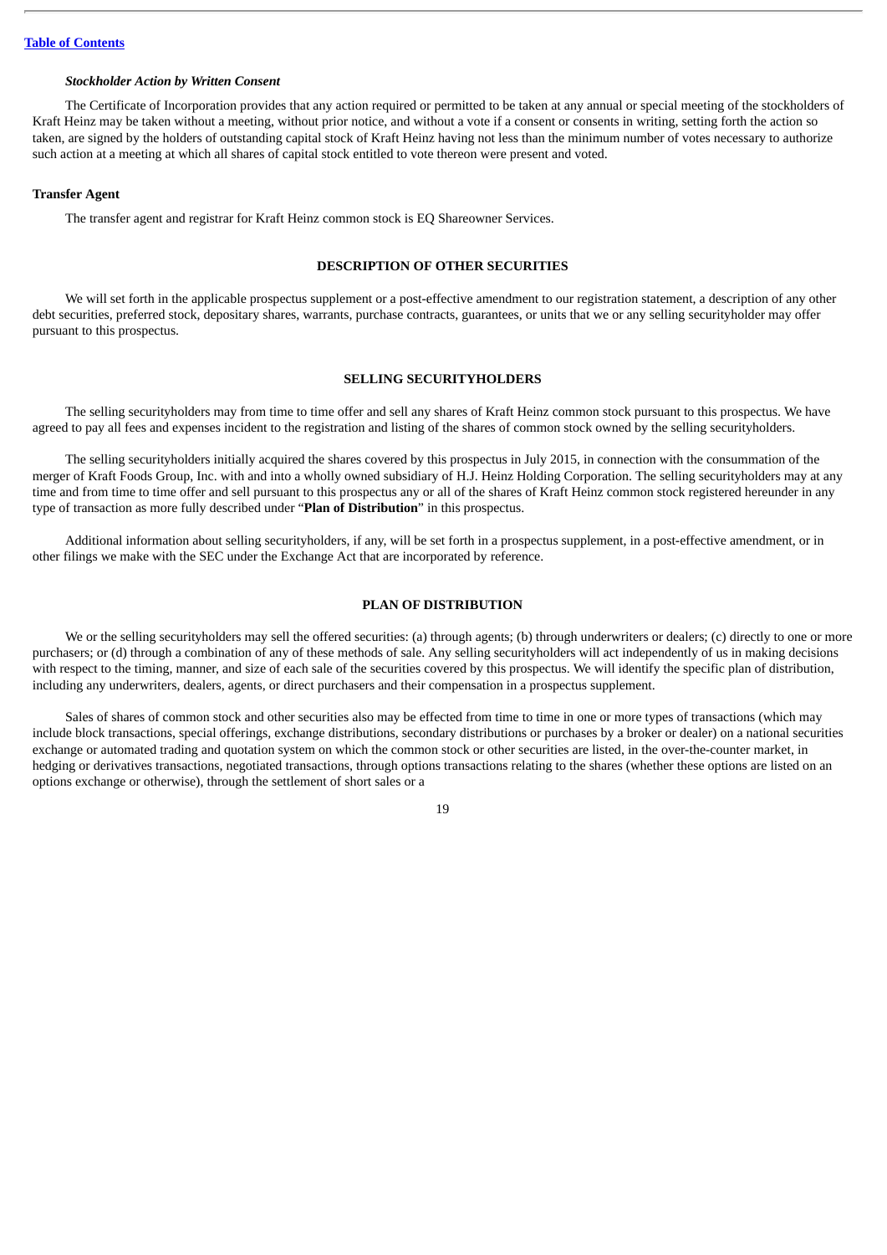#### *Stockholder Action by Written Consent*

The Certificate of Incorporation provides that any action required or permitted to be taken at any annual or special meeting of the stockholders of Kraft Heinz may be taken without a meeting, without prior notice, and without a vote if a consent or consents in writing, setting forth the action so taken, are signed by the holders of outstanding capital stock of Kraft Heinz having not less than the minimum number of votes necessary to authorize such action at a meeting at which all shares of capital stock entitled to vote thereon were present and voted.

#### **Transfer Agent**

The transfer agent and registrar for Kraft Heinz common stock is EQ Shareowner Services.

#### **DESCRIPTION OF OTHER SECURITIES**

<span id="page-21-0"></span>We will set forth in the applicable prospectus supplement or a post-effective amendment to our registration statement, a description of any other debt securities, preferred stock, depositary shares, warrants, purchase contracts, guarantees, or units that we or any selling securityholder may offer pursuant to this prospectus.

#### **SELLING SECURITYHOLDERS**

<span id="page-21-1"></span>The selling securityholders may from time to time offer and sell any shares of Kraft Heinz common stock pursuant to this prospectus. We have agreed to pay all fees and expenses incident to the registration and listing of the shares of common stock owned by the selling securityholders.

The selling securityholders initially acquired the shares covered by this prospectus in July 2015, in connection with the consummation of the merger of Kraft Foods Group, Inc. with and into a wholly owned subsidiary of H.J. Heinz Holding Corporation. The selling securityholders may at any time and from time to time offer and sell pursuant to this prospectus any or all of the shares of Kraft Heinz common stock registered hereunder in any type of transaction as more fully described under "**Plan of Distribution**" in this prospectus.

Additional information about selling securityholders, if any, will be set forth in a prospectus supplement, in a post-effective amendment, or in other filings we make with the SEC under the Exchange Act that are incorporated by reference.

#### **PLAN OF DISTRIBUTION**

<span id="page-21-2"></span>We or the selling securityholders may sell the offered securities: (a) through agents; (b) through underwriters or dealers; (c) directly to one or more purchasers; or (d) through a combination of any of these methods of sale. Any selling securityholders will act independently of us in making decisions with respect to the timing, manner, and size of each sale of the securities covered by this prospectus. We will identify the specific plan of distribution, including any underwriters, dealers, agents, or direct purchasers and their compensation in a prospectus supplement.

Sales of shares of common stock and other securities also may be effected from time to time in one or more types of transactions (which may include block transactions, special offerings, exchange distributions, secondary distributions or purchases by a broker or dealer) on a national securities exchange or automated trading and quotation system on which the common stock or other securities are listed, in the over-the-counter market, in hedging or derivatives transactions, negotiated transactions, through options transactions relating to the shares (whether these options are listed on an options exchange or otherwise), through the settlement of short sales or a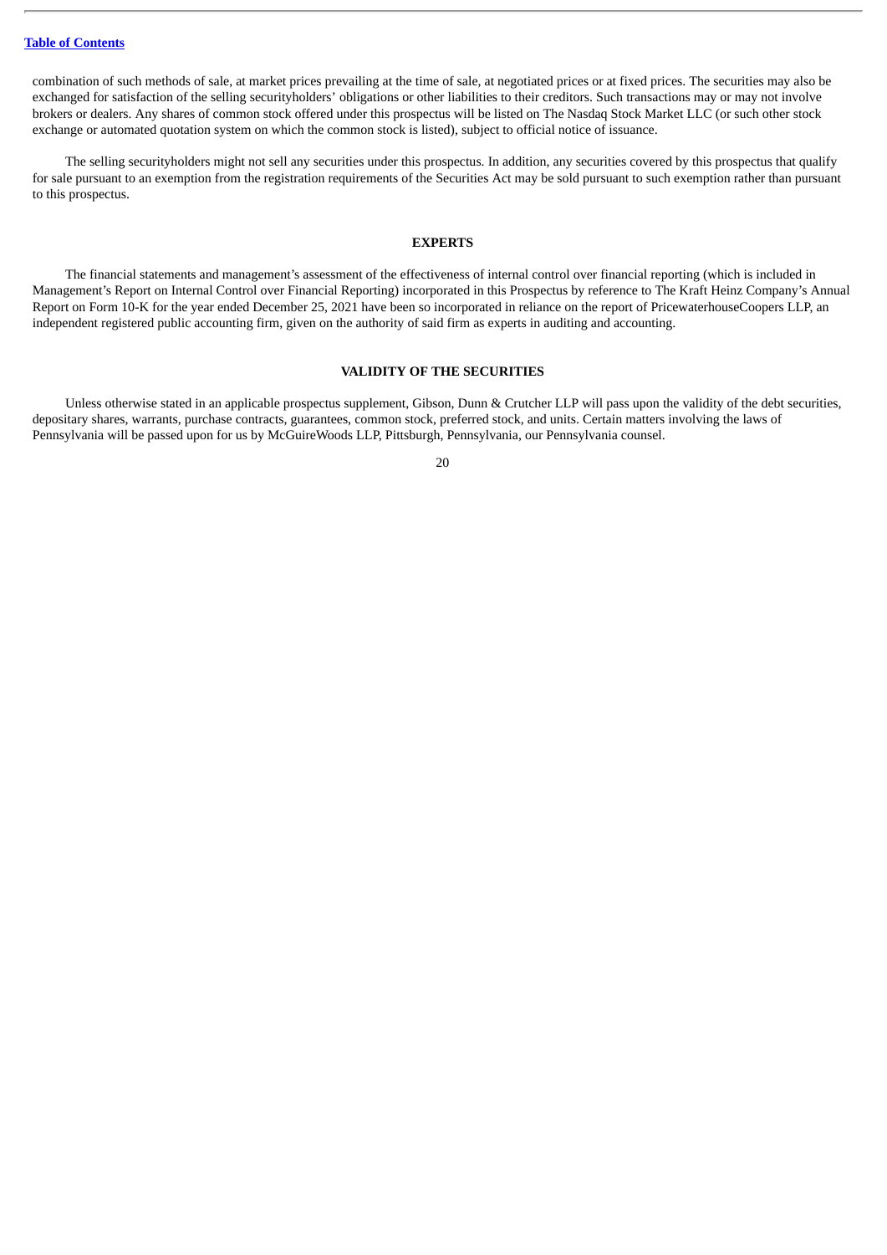combination of such methods of sale, at market prices prevailing at the time of sale, at negotiated prices or at fixed prices. The securities may also be exchanged for satisfaction of the selling securityholders' obligations or other liabilities to their creditors. Such transactions may or may not involve brokers or dealers. Any shares of common stock offered under this prospectus will be listed on The Nasdaq Stock Market LLC (or such other stock exchange or automated quotation system on which the common stock is listed), subject to official notice of issuance.

The selling securityholders might not sell any securities under this prospectus. In addition, any securities covered by this prospectus that qualify for sale pursuant to an exemption from the registration requirements of the Securities Act may be sold pursuant to such exemption rather than pursuant to this prospectus.

#### **EXPERTS**

<span id="page-22-0"></span>The financial statements and management's assessment of the effectiveness of internal control over financial reporting (which is included in Management's Report on Internal Control over Financial Reporting) incorporated in this Prospectus by reference to The Kraft Heinz Company's Annual Report on Form 10-K for the year ended December 25, 2021 have been so incorporated in reliance on the report of PricewaterhouseCoopers LLP, an independent registered public accounting firm, given on the authority of said firm as experts in auditing and accounting.

#### **VALIDITY OF THE SECURITIES**

<span id="page-22-1"></span>Unless otherwise stated in an applicable prospectus supplement, Gibson, Dunn & Crutcher LLP will pass upon the validity of the debt securities, depositary shares, warrants, purchase contracts, guarantees, common stock, preferred stock, and units. Certain matters involving the laws of Pennsylvania will be passed upon for us by McGuireWoods LLP, Pittsburgh, Pennsylvania, our Pennsylvania counsel.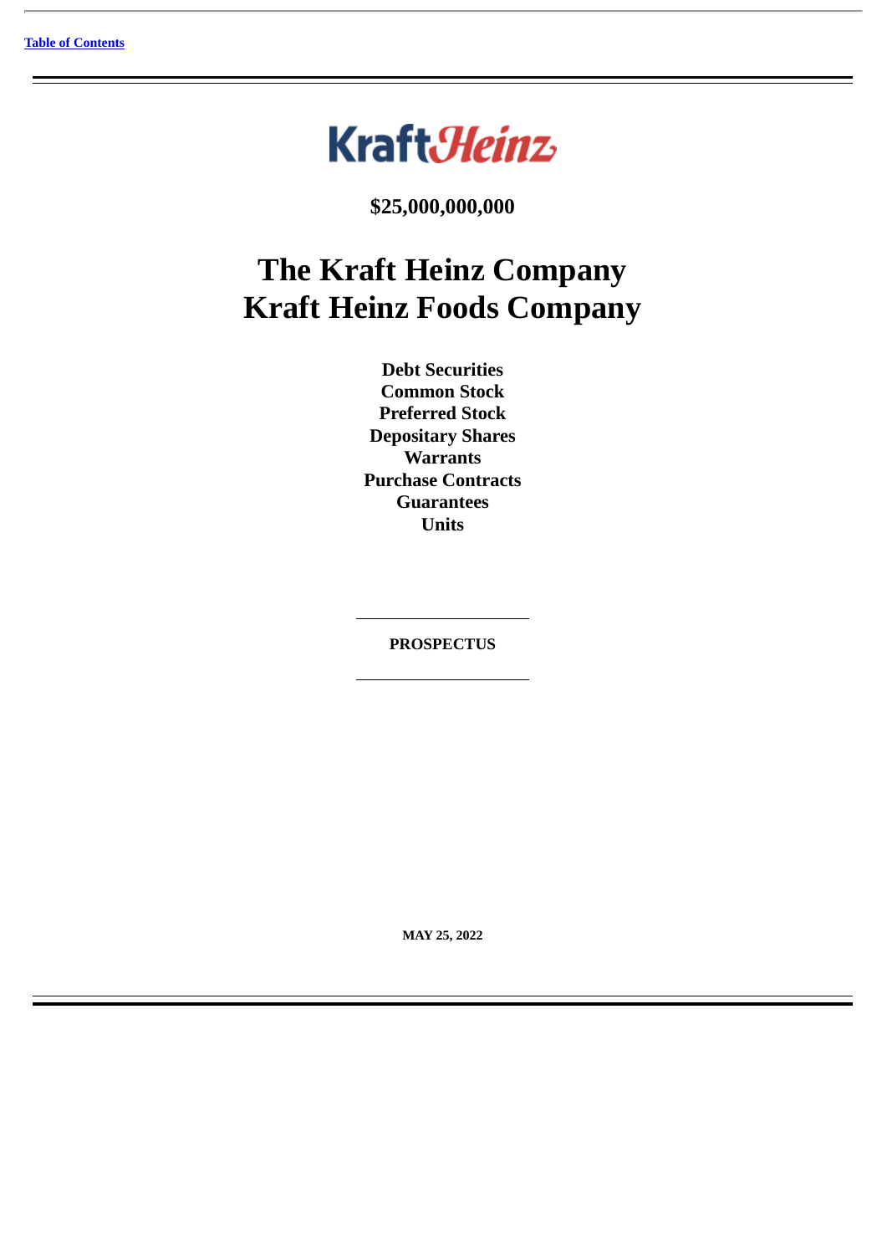

**\$25,000,000,000**

# **The Kraft Heinz Company Kraft Heinz Foods Company**

**Debt Securities Common Stock Preferred Stock Depositary Shares Warrants Purchase Contracts Guarantees Units**

**PROSPECTUS**

**MAY 25, 2022**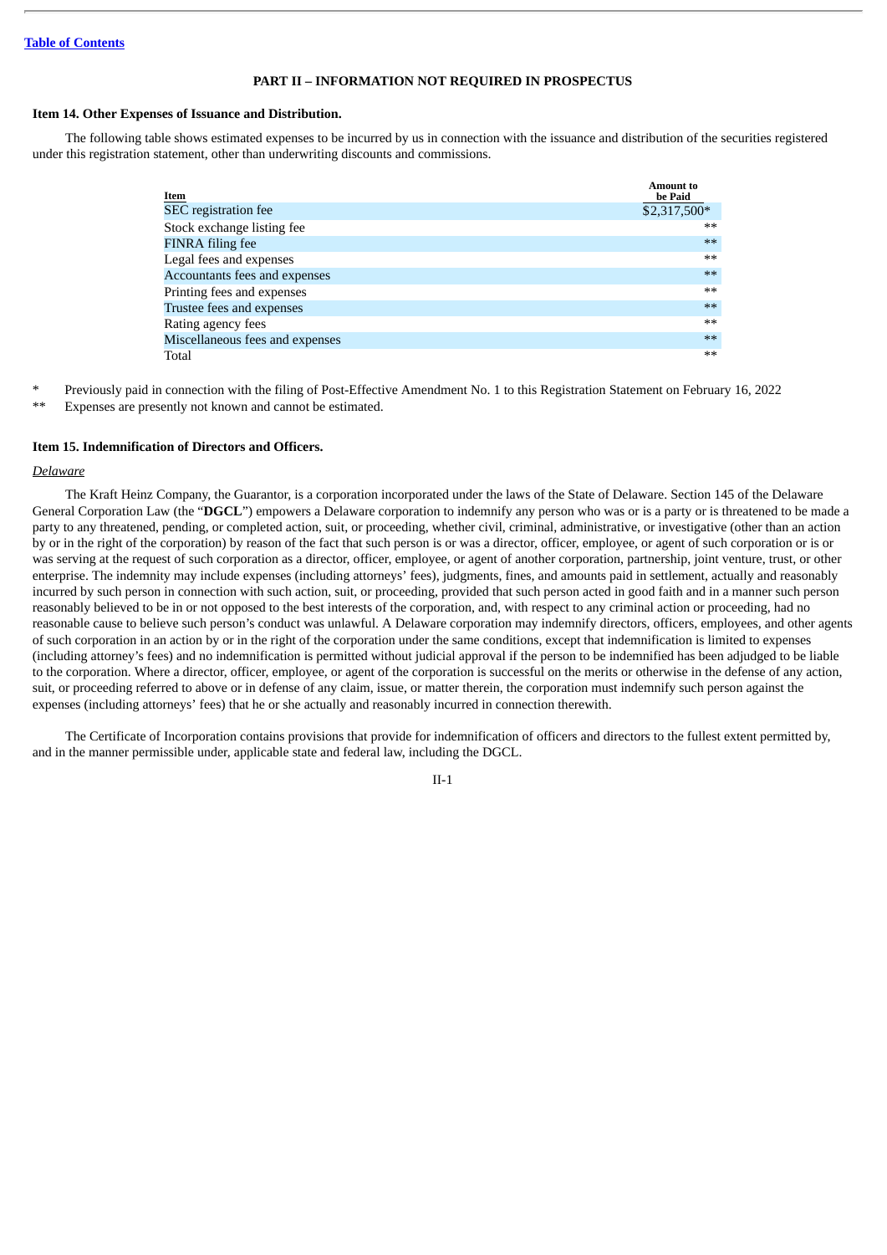#### **PART II – INFORMATION NOT REQUIRED IN PROSPECTUS**

#### **Item 14. Other Expenses of Issuance and Distribution.**

The following table shows estimated expenses to be incurred by us in connection with the issuance and distribution of the securities registered under this registration statement, other than underwriting discounts and commissions.

| Item                            | <b>Amount to</b><br>be Paid |
|---------------------------------|-----------------------------|
| <b>SEC</b> registration fee     | \$2,317,500*                |
| Stock exchange listing fee      | $**$                        |
| <b>FINRA</b> filing fee         | $**$                        |
| Legal fees and expenses         | $**$                        |
| Accountants fees and expenses   | $**$                        |
| Printing fees and expenses      | $**$                        |
| Trustee fees and expenses       | $**$                        |
| Rating agency fees              | $**$                        |
| Miscellaneous fees and expenses | $**$                        |
| Total                           | $**$                        |

\* Previously paid in connection with the filing of Post-Effective Amendment No. 1 to this Registration Statement on February 16, 2022

Expenses are presently not known and cannot be estimated.

#### **Item 15. Indemnification of Directors and Officers.**

#### *Delaware*

The Kraft Heinz Company, the Guarantor, is a corporation incorporated under the laws of the State of Delaware. Section 145 of the Delaware General Corporation Law (the "**DGCL**") empowers a Delaware corporation to indemnify any person who was or is a party or is threatened to be made a party to any threatened, pending, or completed action, suit, or proceeding, whether civil, criminal, administrative, or investigative (other than an action by or in the right of the corporation) by reason of the fact that such person is or was a director, officer, employee, or agent of such corporation or is or was serving at the request of such corporation as a director, officer, employee, or agent of another corporation, partnership, joint venture, trust, or other enterprise. The indemnity may include expenses (including attorneys' fees), judgments, fines, and amounts paid in settlement, actually and reasonably incurred by such person in connection with such action, suit, or proceeding, provided that such person acted in good faith and in a manner such person reasonably believed to be in or not opposed to the best interests of the corporation, and, with respect to any criminal action or proceeding, had no reasonable cause to believe such person's conduct was unlawful. A Delaware corporation may indemnify directors, officers, employees, and other agents of such corporation in an action by or in the right of the corporation under the same conditions, except that indemnification is limited to expenses (including attorney's fees) and no indemnification is permitted without judicial approval if the person to be indemnified has been adjudged to be liable to the corporation. Where a director, officer, employee, or agent of the corporation is successful on the merits or otherwise in the defense of any action, suit, or proceeding referred to above or in defense of any claim, issue, or matter therein, the corporation must indemnify such person against the expenses (including attorneys' fees) that he or she actually and reasonably incurred in connection therewith.

The Certificate of Incorporation contains provisions that provide for indemnification of officers and directors to the fullest extent permitted by, and in the manner permissible under, applicable state and federal law, including the DGCL.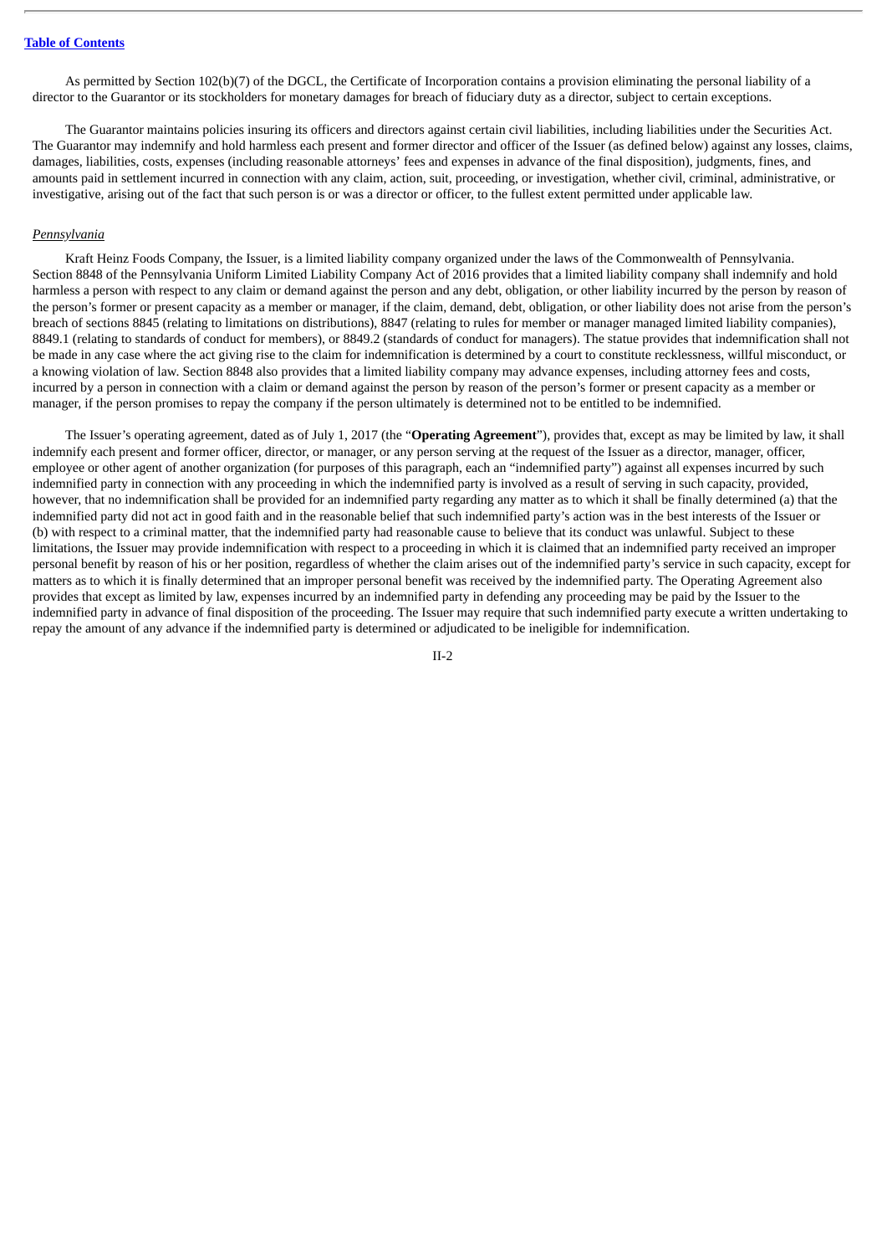As permitted by Section 102(b)(7) of the DGCL, the Certificate of Incorporation contains a provision eliminating the personal liability of a director to the Guarantor or its stockholders for monetary damages for breach of fiduciary duty as a director, subject to certain exceptions.

The Guarantor maintains policies insuring its officers and directors against certain civil liabilities, including liabilities under the Securities Act. The Guarantor may indemnify and hold harmless each present and former director and officer of the Issuer (as defined below) against any losses, claims, damages, liabilities, costs, expenses (including reasonable attorneys' fees and expenses in advance of the final disposition), judgments, fines, and amounts paid in settlement incurred in connection with any claim, action, suit, proceeding, or investigation, whether civil, criminal, administrative, or investigative, arising out of the fact that such person is or was a director or officer, to the fullest extent permitted under applicable law.

#### *Pennsylvania*

Kraft Heinz Foods Company, the Issuer, is a limited liability company organized under the laws of the Commonwealth of Pennsylvania. Section 8848 of the Pennsylvania Uniform Limited Liability Company Act of 2016 provides that a limited liability company shall indemnify and hold harmless a person with respect to any claim or demand against the person and any debt, obligation, or other liability incurred by the person by reason of the person's former or present capacity as a member or manager, if the claim, demand, debt, obligation, or other liability does not arise from the person's breach of sections 8845 (relating to limitations on distributions), 8847 (relating to rules for member or manager managed limited liability companies), 8849.1 (relating to standards of conduct for members), or 8849.2 (standards of conduct for managers). The statue provides that indemnification shall not be made in any case where the act giving rise to the claim for indemnification is determined by a court to constitute recklessness, willful misconduct, or a knowing violation of law. Section 8848 also provides that a limited liability company may advance expenses, including attorney fees and costs, incurred by a person in connection with a claim or demand against the person by reason of the person's former or present capacity as a member or manager, if the person promises to repay the company if the person ultimately is determined not to be entitled to be indemnified.

The Issuer's operating agreement, dated as of July 1, 2017 (the "**Operating Agreement**"), provides that, except as may be limited by law, it shall indemnify each present and former officer, director, or manager, or any person serving at the request of the Issuer as a director, manager, officer, employee or other agent of another organization (for purposes of this paragraph, each an "indemnified party") against all expenses incurred by such indemnified party in connection with any proceeding in which the indemnified party is involved as a result of serving in such capacity, provided, however, that no indemnification shall be provided for an indemnified party regarding any matter as to which it shall be finally determined (a) that the indemnified party did not act in good faith and in the reasonable belief that such indemnified party's action was in the best interests of the Issuer or (b) with respect to a criminal matter, that the indemnified party had reasonable cause to believe that its conduct was unlawful. Subject to these limitations, the Issuer may provide indemnification with respect to a proceeding in which it is claimed that an indemnified party received an improper personal benefit by reason of his or her position, regardless of whether the claim arises out of the indemnified party's service in such capacity, except for matters as to which it is finally determined that an improper personal benefit was received by the indemnified party. The Operating Agreement also provides that except as limited by law, expenses incurred by an indemnified party in defending any proceeding may be paid by the Issuer to the indemnified party in advance of final disposition of the proceeding. The Issuer may require that such indemnified party execute a written undertaking to repay the amount of any advance if the indemnified party is determined or adjudicated to be ineligible for indemnification.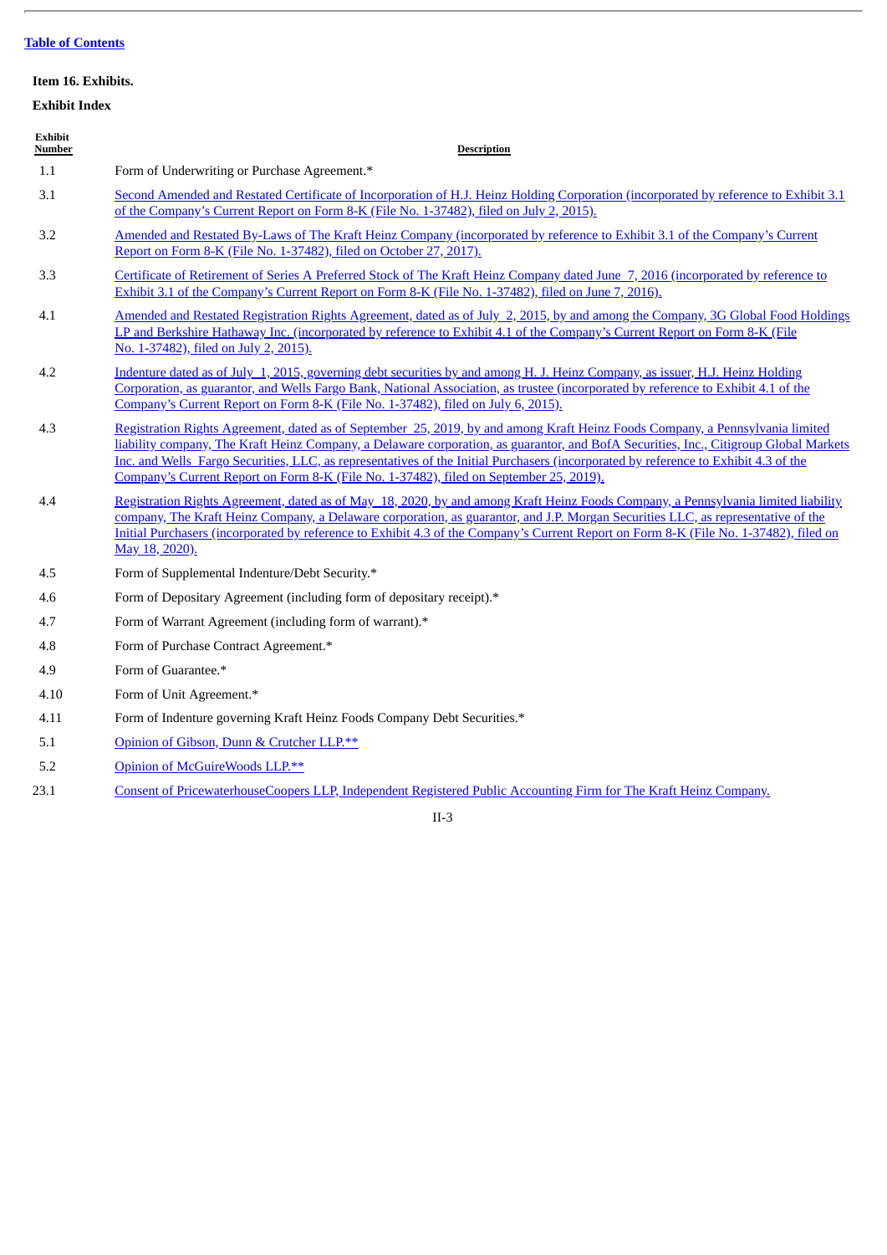L.

#### **Item 16. Exhibits.**

#### **Exhibit Index**

| Exhibit<br>Number | <b>Description</b>                                                                                                                                                                                                                                                                                                                                                                                                                                                                                      |
|-------------------|---------------------------------------------------------------------------------------------------------------------------------------------------------------------------------------------------------------------------------------------------------------------------------------------------------------------------------------------------------------------------------------------------------------------------------------------------------------------------------------------------------|
| 1.1               | Form of Underwriting or Purchase Agreement.*                                                                                                                                                                                                                                                                                                                                                                                                                                                            |
| 3.1               | Second Amended and Restated Certificate of Incorporation of H.J. Heinz Holding Corporation (incorporated by reference to Exhibit 3.1<br>of the Company's Current Report on Form 8-K (File No. 1-37482), filed on July 2, 2015).                                                                                                                                                                                                                                                                         |
| 3.2               | Amended and Restated By-Laws of The Kraft Heinz Company (incorporated by reference to Exhibit 3.1 of the Company's Current<br>Report on Form 8-K (File No. 1-37482), filed on October 27, 2017).                                                                                                                                                                                                                                                                                                        |
| 3.3               | Certificate of Retirement of Series A Preferred Stock of The Kraft Heinz Company dated June 7, 2016 (incorporated by reference to<br>Exhibit 3.1 of the Company's Current Report on Form 8-K (File No. 1-37482), filed on June 7, 2016).                                                                                                                                                                                                                                                                |
| 4.1               | Amended and Restated Registration Rights Agreement, dated as of July 2, 2015, by and among the Company, 3G Global Food Holdings<br>LP and Berkshire Hathaway Inc. (incorporated by reference to Exhibit 4.1 of the Company's Current Report on Form 8-K (File<br>No. 1-37482), filed on July 2, 2015).                                                                                                                                                                                                  |
| 4.2               | Indenture dated as of July 1, 2015, governing debt securities by and among H. J. Heinz Company, as issuer, H.J. Heinz Holding<br>Corporation, as guarantor, and Wells Fargo Bank, National Association, as trustee (incorporated by reference to Exhibit 4.1 of the<br>Company's Current Report on Form 8-K (File No. 1-37482), filed on July 6, 2015).                                                                                                                                                 |
| 4.3               | Registration Rights Agreement, dated as of September 25, 2019, by and among Kraft Heinz Foods Company, a Pennsylvania limited<br>liability company, The Kraft Heinz Company, a Delaware corporation, as guarantor, and BofA Securities, Inc., Citigroup Global Markets<br>Inc. and Wells Fargo Securities, LLC, as representatives of the Initial Purchasers (incorporated by reference to Exhibit 4.3 of the<br>Company's Current Report on Form 8-K (File No. 1-37482), filed on September 25, 2019). |
| 4.4               | Registration Rights Agreement, dated as of May 18, 2020, by and among Kraft Heinz Foods Company, a Pennsylvania limited liability<br>company, The Kraft Heinz Company, a Delaware corporation, as guarantor, and J.P. Morgan Securities LLC, as representative of the<br>Initial Purchasers (incorporated by reference to Exhibit 4.3 of the Company's Current Report on Form 8-K (File No. 1-37482), filed on<br>May 18, 2020).                                                                        |
| 4.5               | Form of Supplemental Indenture/Debt Security.*                                                                                                                                                                                                                                                                                                                                                                                                                                                          |
| 4.6               | Form of Depositary Agreement (including form of depositary receipt).*                                                                                                                                                                                                                                                                                                                                                                                                                                   |
| 4.7               | Form of Warrant Agreement (including form of warrant).*                                                                                                                                                                                                                                                                                                                                                                                                                                                 |
| 4.8               | Form of Purchase Contract Agreement.*                                                                                                                                                                                                                                                                                                                                                                                                                                                                   |
| 4.9               | Form of Guarantee.*                                                                                                                                                                                                                                                                                                                                                                                                                                                                                     |
| 4.10              | Form of Unit Agreement.*                                                                                                                                                                                                                                                                                                                                                                                                                                                                                |
| 4.11              | Form of Indenture governing Kraft Heinz Foods Company Debt Securities.*                                                                                                                                                                                                                                                                                                                                                                                                                                 |
| 5.1               | Opinion of Gibson, Dunn & Crutcher LLP.**                                                                                                                                                                                                                                                                                                                                                                                                                                                               |
| 5.2               | Opinion of McGuireWoods LLP.**                                                                                                                                                                                                                                                                                                                                                                                                                                                                          |

23.1 Consent of [PricewaterhouseCoopers](#page-32-0) LLP, Independent Registered Public Accounting Firm for The Kraft Heinz Company.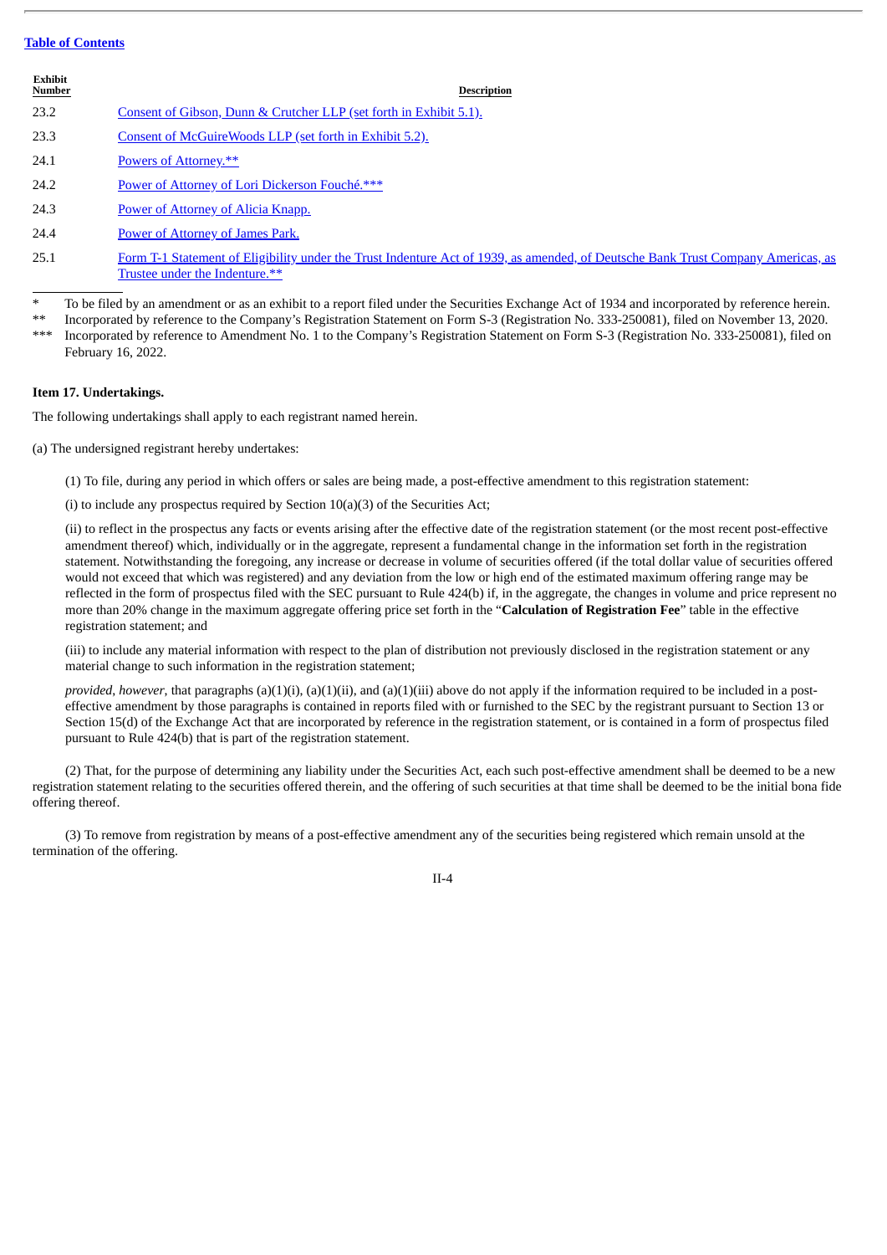| Exhibit<br>Number | <b>Description</b>                                                                                                                                                 |
|-------------------|--------------------------------------------------------------------------------------------------------------------------------------------------------------------|
| 23.2              | Consent of Gibson, Dunn & Crutcher LLP (set forth in Exhibit 5.1).                                                                                                 |
| 23.3              | Consent of McGuireWoods LLP (set forth in Exhibit 5.2).                                                                                                            |
| 24.1              | Powers of Attorney.**                                                                                                                                              |
| 24.2              | Power of Attorney of Lori Dickerson Fouché.***                                                                                                                     |
| 24.3              | Power of Attorney of Alicia Knapp.                                                                                                                                 |
| 24.4              | Power of Attorney of James Park.                                                                                                                                   |
| 25.1              | Form T-1 Statement of Eligibility under the Trust Indenture Act of 1939, as amended, of Deutsche Bank Trust Company Americas, as<br>Trustee under the Indenture.** |

\* To be filed by an amendment or as an exhibit to a report filed under the Securities Exchange Act of 1934 and incorporated by reference herein.

\*\* Incorporated by reference to the Company's Registration Statement on Form S-3 (Registration No. 333-250081), filed on November 13, 2020.

Incorporated by reference to Amendment No. 1 to the Company's Registration Statement on Form S-3 (Registration No. 333-250081), filed on February 16, 2022.

#### **Item 17. Undertakings.**

The following undertakings shall apply to each registrant named herein.

(a) The undersigned registrant hereby undertakes:

(1) To file, during any period in which offers or sales are being made, a post-effective amendment to this registration statement:

(i) to include any prospectus required by Section  $10(a)(3)$  of the Securities Act;

(ii) to reflect in the prospectus any facts or events arising after the effective date of the registration statement (or the most recent post-effective amendment thereof) which, individually or in the aggregate, represent a fundamental change in the information set forth in the registration statement. Notwithstanding the foregoing, any increase or decrease in volume of securities offered (if the total dollar value of securities offered would not exceed that which was registered) and any deviation from the low or high end of the estimated maximum offering range may be reflected in the form of prospectus filed with the SEC pursuant to Rule 424(b) if, in the aggregate, the changes in volume and price represent no more than 20% change in the maximum aggregate offering price set forth in the "**Calculation of Registration Fee**" table in the effective registration statement; and

(iii) to include any material information with respect to the plan of distribution not previously disclosed in the registration statement or any material change to such information in the registration statement;

*provided*, *however*, that paragraphs (a)(1)(i), (a)(1)(ii), and (a)(1)(iii) above do not apply if the information required to be included in a posteffective amendment by those paragraphs is contained in reports filed with or furnished to the SEC by the registrant pursuant to Section 13 or Section 15(d) of the Exchange Act that are incorporated by reference in the registration statement, or is contained in a form of prospectus filed pursuant to Rule 424(b) that is part of the registration statement.

(2) That, for the purpose of determining any liability under the Securities Act, each such post-effective amendment shall be deemed to be a new registration statement relating to the securities offered therein, and the offering of such securities at that time shall be deemed to be the initial bona fide offering thereof.

(3) To remove from registration by means of a post-effective amendment any of the securities being registered which remain unsold at the termination of the offering.

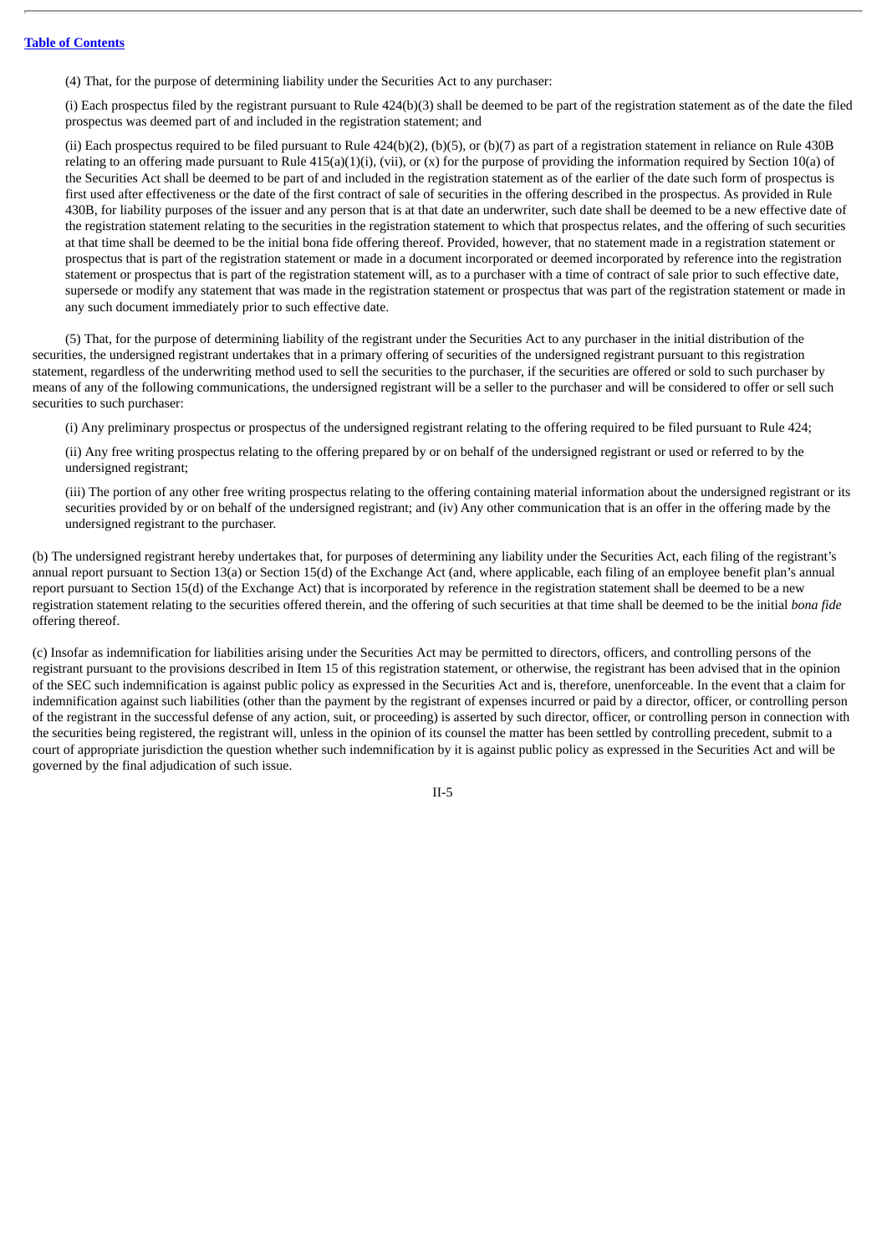(4) That, for the purpose of determining liability under the Securities Act to any purchaser:

(i) Each prospectus filed by the registrant pursuant to Rule 424(b)(3) shall be deemed to be part of the registration statement as of the date the filed prospectus was deemed part of and included in the registration statement; and

(ii) Each prospectus required to be filed pursuant to Rule 424(b)(2), (b)(5), or (b)(7) as part of a registration statement in reliance on Rule 430B relating to an offering made pursuant to Rule  $415(a)(1)(i)$ , (vii), or (x) for the purpose of providing the information required by Section 10(a) of the Securities Act shall be deemed to be part of and included in the registration statement as of the earlier of the date such form of prospectus is first used after effectiveness or the date of the first contract of sale of securities in the offering described in the prospectus. As provided in Rule 430B, for liability purposes of the issuer and any person that is at that date an underwriter, such date shall be deemed to be a new effective date of the registration statement relating to the securities in the registration statement to which that prospectus relates, and the offering of such securities at that time shall be deemed to be the initial bona fide offering thereof. Provided, however, that no statement made in a registration statement or prospectus that is part of the registration statement or made in a document incorporated or deemed incorporated by reference into the registration statement or prospectus that is part of the registration statement will, as to a purchaser with a time of contract of sale prior to such effective date, supersede or modify any statement that was made in the registration statement or prospectus that was part of the registration statement or made in any such document immediately prior to such effective date.

(5) That, for the purpose of determining liability of the registrant under the Securities Act to any purchaser in the initial distribution of the securities, the undersigned registrant undertakes that in a primary offering of securities of the undersigned registrant pursuant to this registration statement, regardless of the underwriting method used to sell the securities to the purchaser, if the securities are offered or sold to such purchaser by means of any of the following communications, the undersigned registrant will be a seller to the purchaser and will be considered to offer or sell such securities to such purchaser:

(i) Any preliminary prospectus or prospectus of the undersigned registrant relating to the offering required to be filed pursuant to Rule 424;

(ii) Any free writing prospectus relating to the offering prepared by or on behalf of the undersigned registrant or used or referred to by the undersigned registrant;

(iii) The portion of any other free writing prospectus relating to the offering containing material information about the undersigned registrant or its securities provided by or on behalf of the undersigned registrant; and (iv) Any other communication that is an offer in the offering made by the undersigned registrant to the purchaser.

(b) The undersigned registrant hereby undertakes that, for purposes of determining any liability under the Securities Act, each filing of the registrant's annual report pursuant to Section 13(a) or Section 15(d) of the Exchange Act (and, where applicable, each filing of an employee benefit plan's annual report pursuant to Section 15(d) of the Exchange Act) that is incorporated by reference in the registration statement shall be deemed to be a new registration statement relating to the securities offered therein, and the offering of such securities at that time shall be deemed to be the initial *bona fide* offering thereof.

(c) Insofar as indemnification for liabilities arising under the Securities Act may be permitted to directors, officers, and controlling persons of the registrant pursuant to the provisions described in Item 15 of this registration statement, or otherwise, the registrant has been advised that in the opinion of the SEC such indemnification is against public policy as expressed in the Securities Act and is, therefore, unenforceable. In the event that a claim for indemnification against such liabilities (other than the payment by the registrant of expenses incurred or paid by a director, officer, or controlling person of the registrant in the successful defense of any action, suit, or proceeding) is asserted by such director, officer, or controlling person in connection with the securities being registered, the registrant will, unless in the opinion of its counsel the matter has been settled by controlling precedent, submit to a court of appropriate jurisdiction the question whether such indemnification by it is against public policy as expressed in the Securities Act and will be governed by the final adjudication of such issue.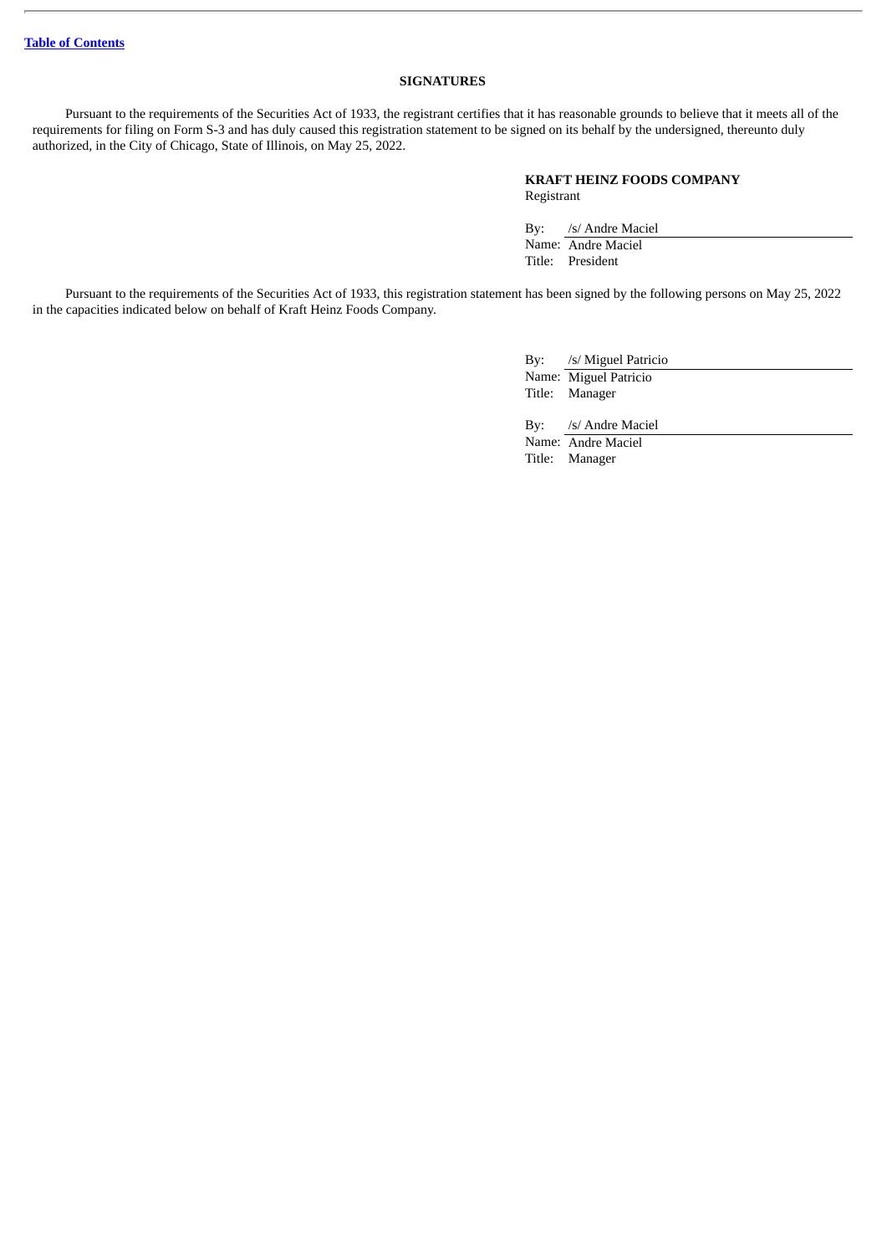#### **SIGNATURES**

Pursuant to the requirements of the Securities Act of 1933, the registrant certifies that it has reasonable grounds to believe that it meets all of the requirements for filing on Form S-3 and has duly caused this registration statement to be signed on its behalf by the undersigned, thereunto duly authorized, in the City of Chicago, State of Illinois, on May 25, 2022.

#### **KRAFT HEINZ FOODS COMPANY** Registrant

By: /s/ Andre Maciel Name: Andre Maciel Title: President

Pursuant to the requirements of the Securities Act of 1933, this registration statement has been signed by the following persons on May 25, 2022 in the capacities indicated below on behalf of Kraft Heinz Foods Company.

> By: /s/ Miguel Patricio Name: Miguel Patricio Title: Manager

By: /s/ Andre Maciel

Name: Andre Maciel

Title: Manager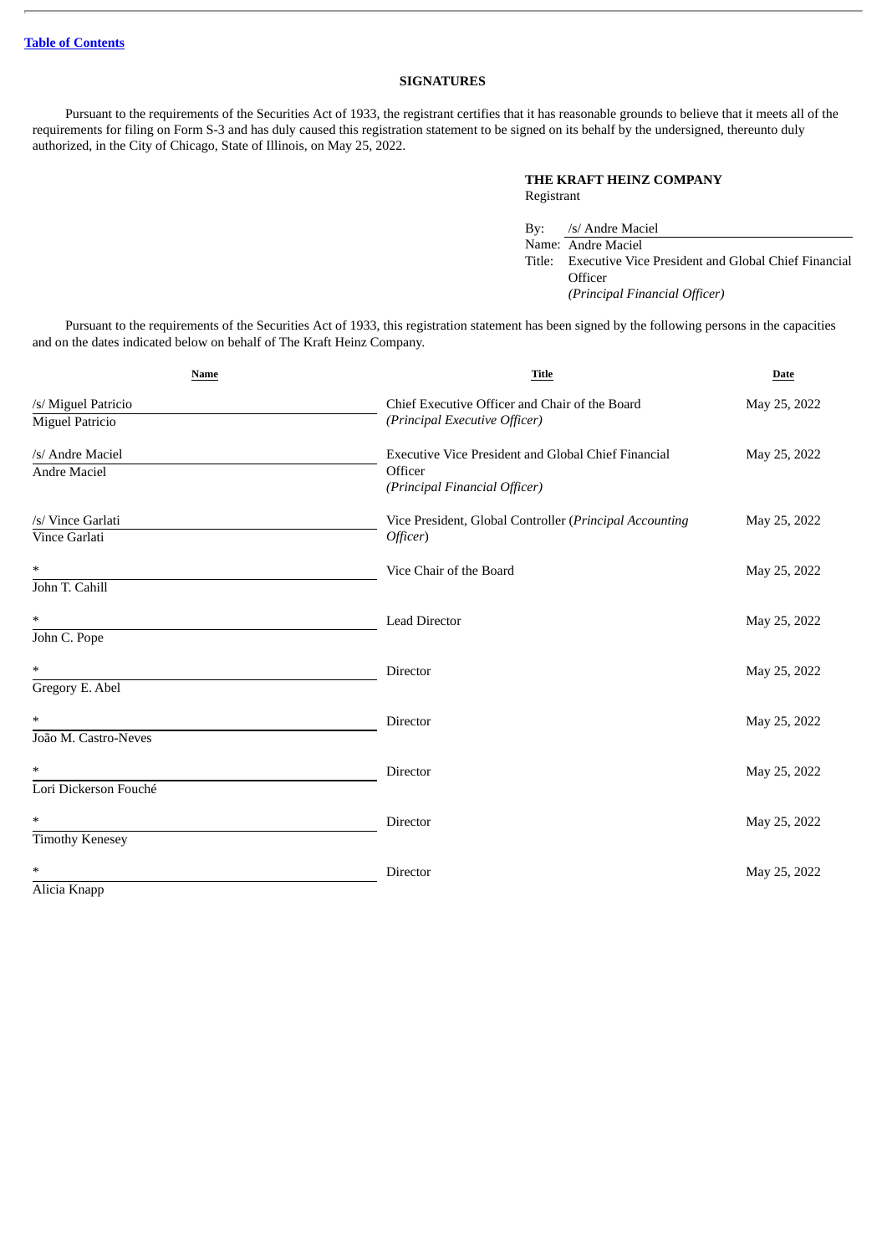#### **SIGNATURES**

Pursuant to the requirements of the Securities Act of 1933, the registrant certifies that it has reasonable grounds to believe that it meets all of the requirements for filing on Form S-3 and has duly caused this registration statement to be signed on its behalf by the undersigned, thereunto duly authorized, in the City of Chicago, State of Illinois, on May 25, 2022.

### **THE KRAFT HEINZ COMPANY**

Registrant

By: /s/ Andre Maciel Name: Andre Maciel Title: Executive Vice President and Global Chief Financial **Officer** *(Principal Financial Officer)*

Pursuant to the requirements of the Securities Act of 1933, this registration statement has been signed by the following persons in the capacities and on the dates indicated below on behalf of The Kraft Heinz Company.

| Name                   | <b>Title</b>                                               | Date         |
|------------------------|------------------------------------------------------------|--------------|
| /s/ Miguel Patricio    | Chief Executive Officer and Chair of the Board             | May 25, 2022 |
| <b>Miguel Patricio</b> | (Principal Executive Officer)                              |              |
| /s/ Andre Maciel       | <b>Executive Vice President and Global Chief Financial</b> | May 25, 2022 |
| <b>Andre Maciel</b>    | Officer                                                    |              |
|                        | (Principal Financial Officer)                              |              |
| /s/ Vince Garlati      | Vice President, Global Controller (Principal Accounting    | May 25, 2022 |
| Vince Garlati          | Officer)                                                   |              |
| *                      | Vice Chair of the Board                                    | May 25, 2022 |
| John T. Cahill         |                                                            |              |
| $\ast$                 | <b>Lead Director</b>                                       | May 25, 2022 |
| John C. Pope           |                                                            |              |
| $\ast$                 | Director                                                   | May 25, 2022 |
| Gregory E. Abel        |                                                            |              |
| $\ast$                 | Director                                                   | May 25, 2022 |
| João M. Castro-Neves   |                                                            |              |
| $\ast$                 | Director                                                   | May 25, 2022 |
| Lori Dickerson Fouché  |                                                            |              |
| $\ast$                 | Director                                                   | May 25, 2022 |
| <b>Timothy Kenesey</b> |                                                            |              |
| $\ast$                 | Director                                                   | May 25, 2022 |
| Alicia Knapp           |                                                            |              |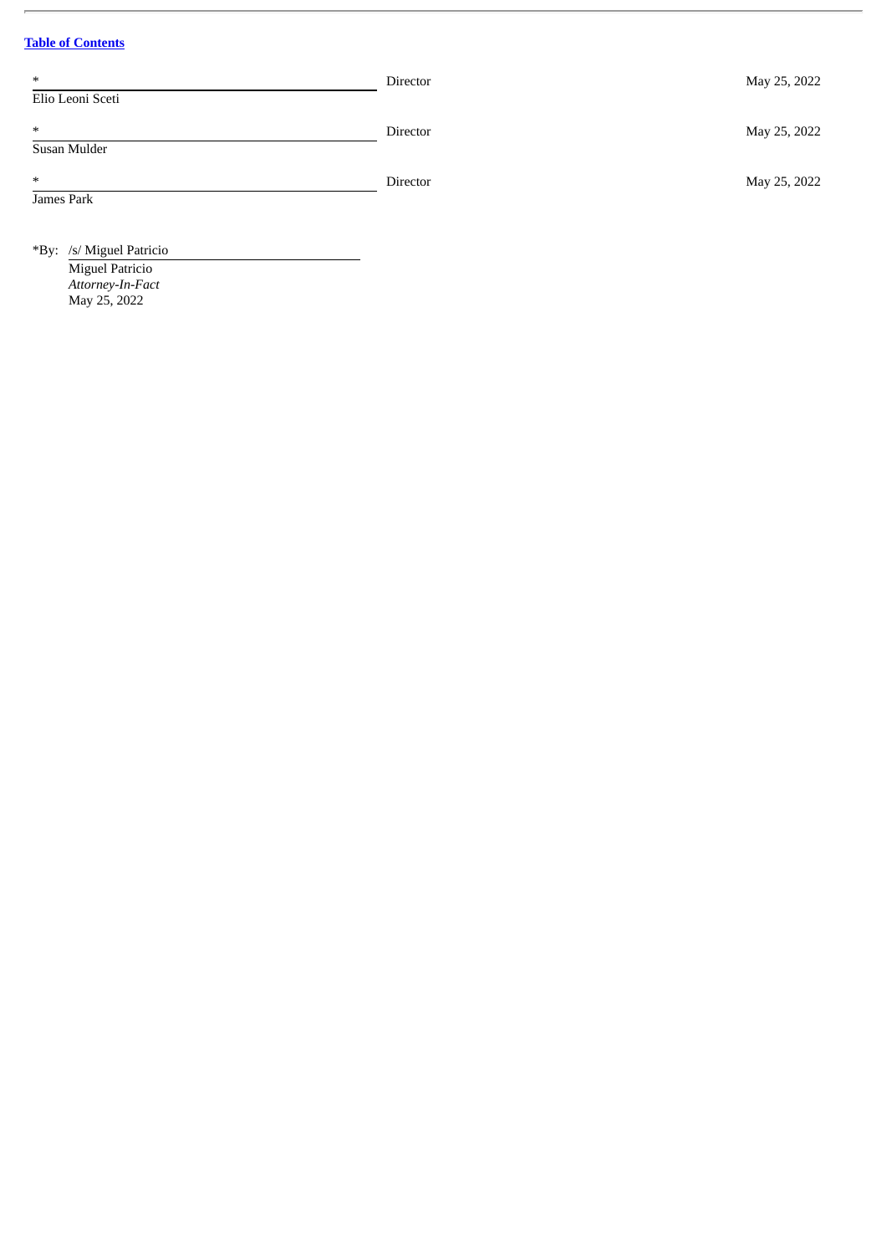| $\ast$<br>Elio Leoni Sceti | Director | May 25, 2022 |
|----------------------------|----------|--------------|
| $\ast$<br>Susan Mulder     | Director | May 25, 2022 |
| $\ast$<br>James Park       | Director | May 25, 2022 |

\*By: /s/ Miguel Patricio Miguel Patricio Attorney-In-Fact May 25, 2022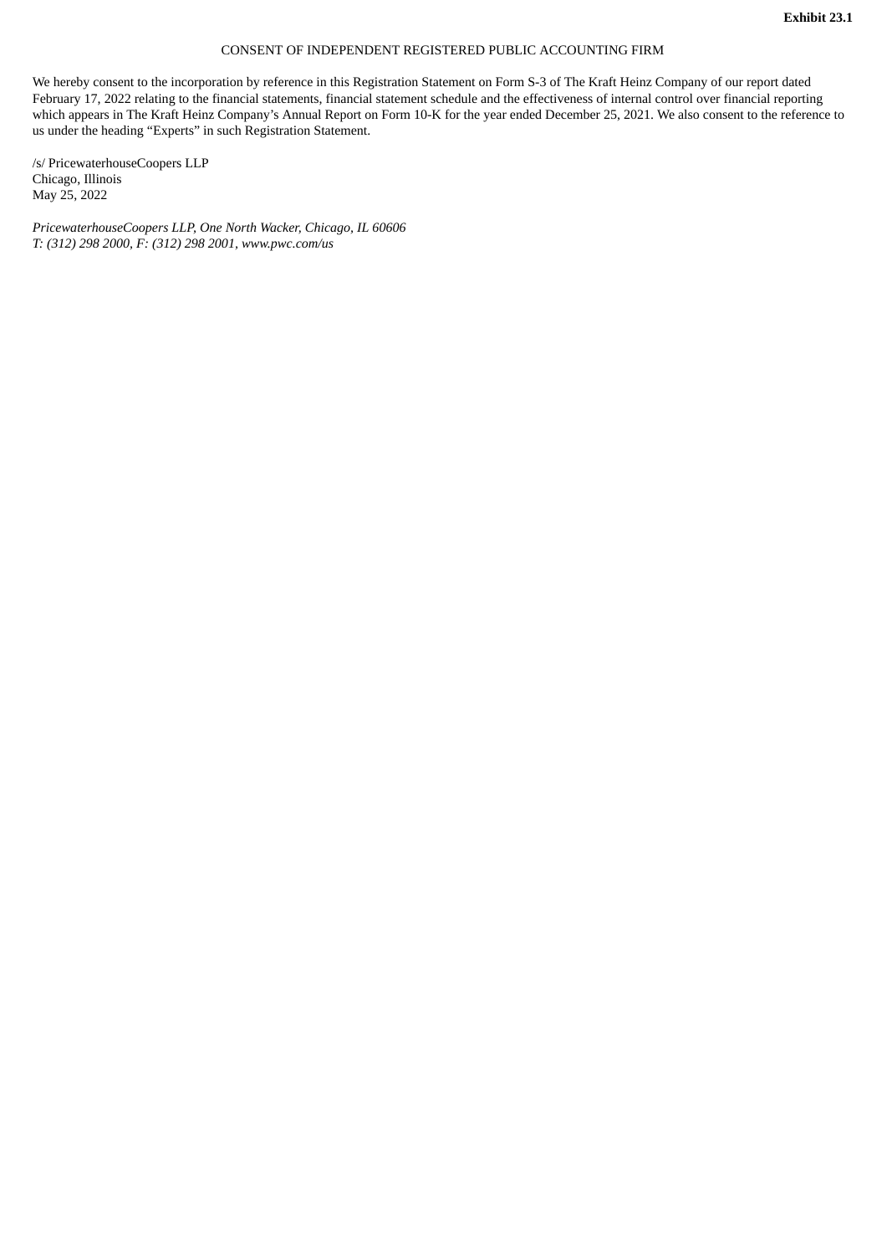#### CONSENT OF INDEPENDENT REGISTERED PUBLIC ACCOUNTING FIRM

<span id="page-32-0"></span>We hereby consent to the incorporation by reference in this Registration Statement on Form S-3 of The Kraft Heinz Company of our report dated February 17, 2022 relating to the financial statements, financial statement schedule and the effectiveness of internal control over financial reporting which appears in The Kraft Heinz Company's Annual Report on Form 10-K for the year ended December 25, 2021. We also consent to the reference to us under the heading "Experts" in such Registration Statement.

/s/ PricewaterhouseCoopers LLP Chicago, Illinois May 25, 2022

*PricewaterhouseCoopers LLP, One North Wacker, Chicago, IL 60606 T: (312) 298 2000, F: (312) 298 2001, www.pwc.com/us*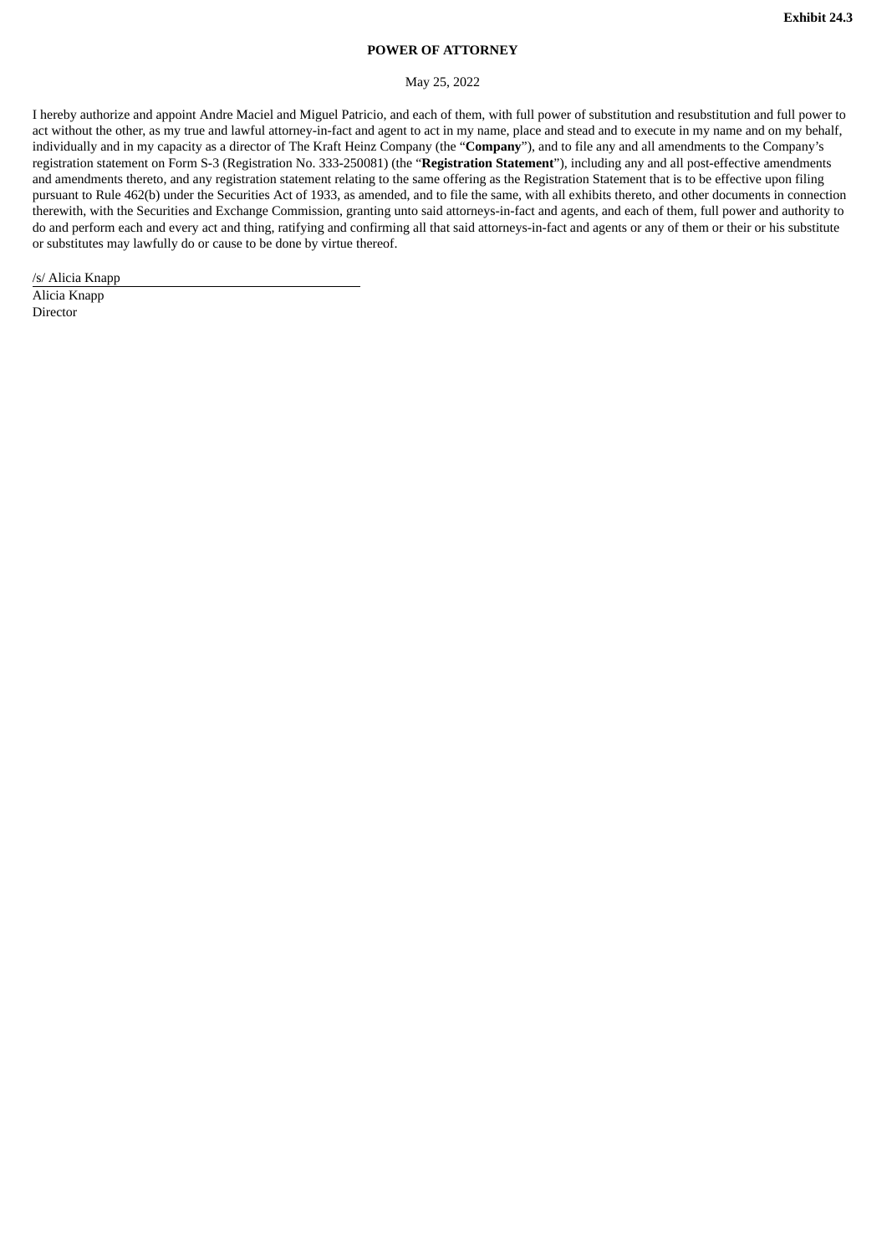#### **POWER OF ATTORNEY**

#### May 25, 2022

<span id="page-33-0"></span>I hereby authorize and appoint Andre Maciel and Miguel Patricio, and each of them, with full power of substitution and resubstitution and full power to act without the other, as my true and lawful attorney-in-fact and agent to act in my name, place and stead and to execute in my name and on my behalf, individually and in my capacity as a director of The Kraft Heinz Company (the "**Company**"), and to file any and all amendments to the Company's registration statement on Form S-3 (Registration No. 333-250081) (the "**Registration Statement**"), including any and all post-effective amendments and amendments thereto, and any registration statement relating to the same offering as the Registration Statement that is to be effective upon filing pursuant to Rule 462(b) under the Securities Act of 1933, as amended, and to file the same, with all exhibits thereto, and other documents in connection therewith, with the Securities and Exchange Commission, granting unto said attorneys-in-fact and agents, and each of them, full power and authority to do and perform each and every act and thing, ratifying and confirming all that said attorneys-in-fact and agents or any of them or their or his substitute or substitutes may lawfully do or cause to be done by virtue thereof.

/s/ Alicia Knapp

Alicia Knapp Director